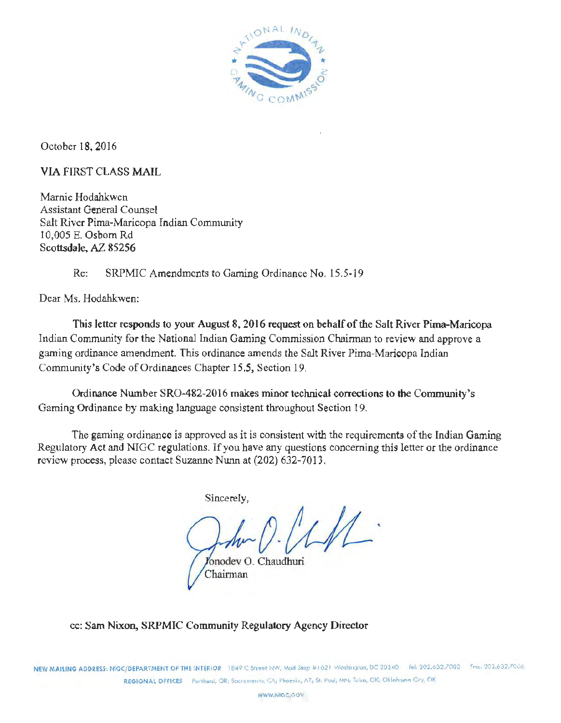

October 18, 2016

VIA FIRST CLASS MAIL

Marnie Hodahkwen Assistant General Counsel Salt River Pima-Maricopa Indian Community 10,005 E. Osborn Rd Scottsdale, AZ 85256

Re: SRPMIC Amendments to Gaming Ordinance No. 15.5-19

Dear Ms. Hodahkwen:

Tbis letter responds to your August 8, 2016 request on behalf of the Salt River Pima-Maricopa Indian Community for the National Indian Gaming Commission Chairman to review and approve a gaming ordinance amendment. This ordinance amends the Salt River Pima-Maricopa Indian Community's Code of Ordinances Chapter 15.5, Section 19.

Ordinance Number SR0-482-2016 makes minor technical corrections to **the** Community's Gaming Ordinance by making language consistent throughout Section 19.

The gaming ordinance is approved as it is consistent with the requirements of the Indian Gaming Regulatory Act and NIGC regulations. If you have any questions concerning this letter or the ordinance review process, please contact Suzanne Nunn at (202) 632-7013.

Sincerely,

 $\hat{\mathcal{D}}$ 

onodev 0. Chaudhuri Chairman

cc: Sam Nixon, SRPMTC Community Regulatory Agency Director

NEW MAILING ADDRESS: NIGC/DEPARTMENT OF THE INTERIOR 1849 C Street NW, Mcill Stop #1621 Washington, DC 20240 fel: 202.632.7003 Fex: 202.632.7006 REGIONAL OFFICES Portland, OR: Sacromento, CA; Phoenix, A7; St. Paul, MNi; Talsa, OK; Oklahoma City, OK

WWW.NIGC.COV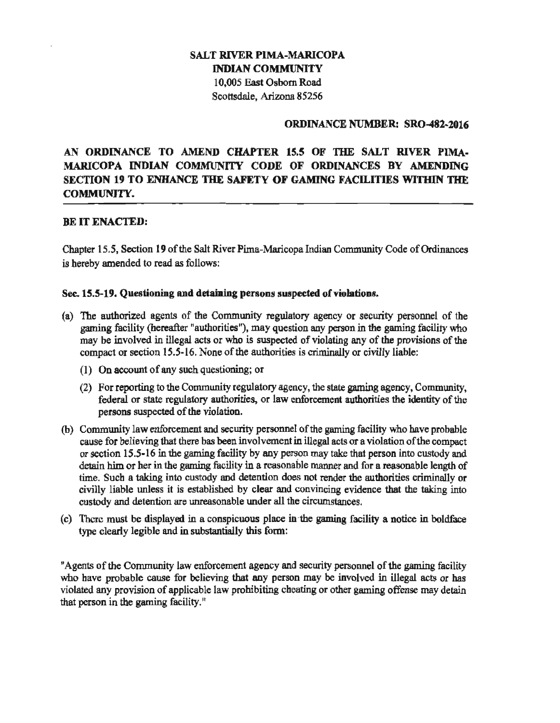# SALT RIVER PIMA-MARICOPA INDIAN COMMUNITY 10,005 East Osborn Road Scottsdale, Arizona 85256

## ORDINANCE NUMBER: SR0-482-2016

# AN ORDINANCE TO AMEND CHAPTER 15.5 OF TIIE SALT RIVER PIMA-MARICOPA INDIAN COMMUNITY CODE OF ORDINANCES BY AMENDING SECTION 19 TO ENHANCE THE SAFETY OF GAMING FACILITIES WITHIN THE COMMUNITY.

# BE IT ENACTED:

Chapter 15.S, Section 19 of the Salt River Pima-Maricopa Indian Community Code of Ordinances is hereby amended to read as follows:

## Sec. 15.5-19. Questioning and detaining persons suspected of violations.

- (a) The authorized agents of the Community regulatory agency or security personnel of the gaming facility (hereafter "authorities"), may question any person in the gaming facility who may be involved in illegal acts or who is suspected of violating any of the provisions of the compact or section 15.5-16. None of the authorities is criminally or civilly liable:
	- (I) On account of any such questioning; or
	- (2) For reporting to the Community regulatory agency, the state gaming agency, Community, federal or state regulatory authorities, or law enforcement authorities the identity of the persons suspected of the violation.
- (b) Community law enforcement and security personnel of the gaming facility who have probable cause for believing that there bas been involvement in illegal acts or a violation of the compact or section 15.5-16 in the gaming facility by any person may take that person into custody and detain him or her in the gaming facility in a reasonable manner and for a reasonable length of time. Such a taking into custody and detention does not render the authorities criminally or civilly liable unless it is established by clear and convincing evidence that the taking into custody and detention are unreasonable under all the circumstances.
- (c) There must be displayed in a conspicuous place in·the gaming facility a notice in boldface type clearly legible and in substantially this form:

"Agents of the Community law enforcement agency and security personnel of the gaming facility who have probable cause for believing that any person may be involved in illegal acts or has violated any provision of applicable law prohibiting cheating or other gaming offense may detain that person in the gaming facility."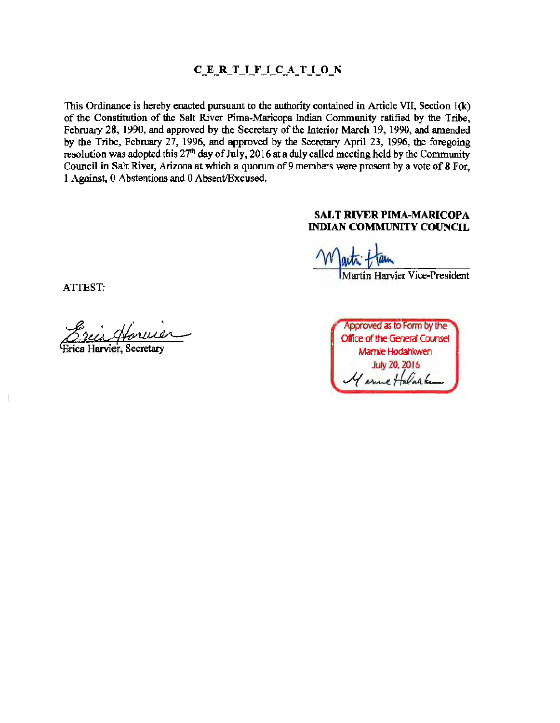# C\_E\_R\_T\_I\_F\_I\_C\_A\_T\_I\_O\_N

This Ordinance is hereby enacted pursuant to the authority contained in Article VII, Section l(k) of the Constitution of the Salt River Pima-Maricopa Indian Community ratified by the Tribe, February 28, 1990, and approved by the Secretary of the Interior March 19, 1990, and amended by the Tribe, February 27, 1996, and approved by the Secretary April 23, 1996, the foregoing resolution was adopted this  $27<sup>th</sup>$  day of July, 2016 at a duly called meeting held by the Community Council in Salt River, Arizona at which a quorum of 9 members were present by a vote of 8 For, 1 Against, 0 Abstentions and 0 Absent/Excused.

# SALT **RIVER** PIMA-MARICOPA INDIAN COMMUNITY COUNCIL

Martin Harvier Vice-President

ATTEST:

 $\overline{\phantom{a}}$ 

Jarvier, Secretary

Approved as to Form by the Office of the General Counsel Mamie Hodahkwen **July 20, 2016** I sme Halanke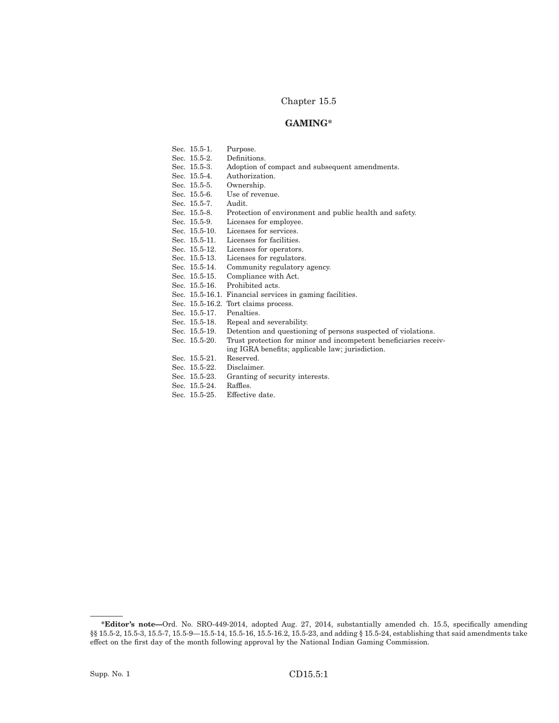## Chapter 15.5

## **GAMING\***

| Sec. 15.5-1.  | Purpose.                                                         |
|---------------|------------------------------------------------------------------|
| Sec. 15.5-2.  | Definitions.                                                     |
| Sec. 15.5-3.  | Adoption of compact and subsequent amendments.                   |
| Sec. 15.5-4.  | Authorization.                                                   |
| Sec. 15.5-5.  | Ownership.                                                       |
| Sec. 15.5-6.  | Use of revenue.                                                  |
| Sec. 15.5-7.  | Audit.                                                           |
| Sec. 15.5-8.  | Protection of environment and public health and safety.          |
| Sec. 15.5-9.  | Licenses for employee.                                           |
| Sec. 15.5-10. | Licenses for services.                                           |
| Sec. 15.5-11. | Licenses for facilities.                                         |
| Sec. 15.5-12. | Licenses for operators.                                          |
| Sec. 15.5-13. | Licenses for regulators.                                         |
| Sec. 15.5-14. | Community regulatory agency.                                     |
| Sec. 15.5-15. | Compliance with Act.                                             |
| Sec. 15.5-16. | Prohibited acts.                                                 |
|               | Sec. 15.5-16.1. Financial services in gaming facilities.         |
|               | Sec. 15.5-16.2. Tort claims process.                             |
| Sec. 15.5-17. | Penalties.                                                       |
| Sec. 15.5-18. | Repeal and severability.                                         |
| Sec. 15.5-19. | Detention and questioning of persons suspected of violations.    |
| Sec. 15.5-20. | Trust protection for minor and incompetent beneficiaries receiv- |
|               | ing IGRA benefits; applicable law; jurisdiction.                 |
| Sec. 15.5-21. | Reserved.                                                        |
| Sec. 15.5-22. | Disclaimer.                                                      |
| Sec. 15.5-23. | Granting of security interests.                                  |
| Sec. 15.5-24. | Raffles.                                                         |
| Sec. 15.5-25. | Effective date.                                                  |

**<sup>\*</sup>Editor's note—**Ord. No. SRO-449-2014, adopted Aug. 27, 2014, substantially amended ch. 15.5, specifically amending §§ 15.5-2, 15.5-3, 15.5-7, 15.5-9-15.5-14, 15.5-16, 15.5-16.2, 15.5-23, and adding § 15.5-24, establishing that said amendments take effect on the first day of the month following approval by the National Indian Gaming Commission.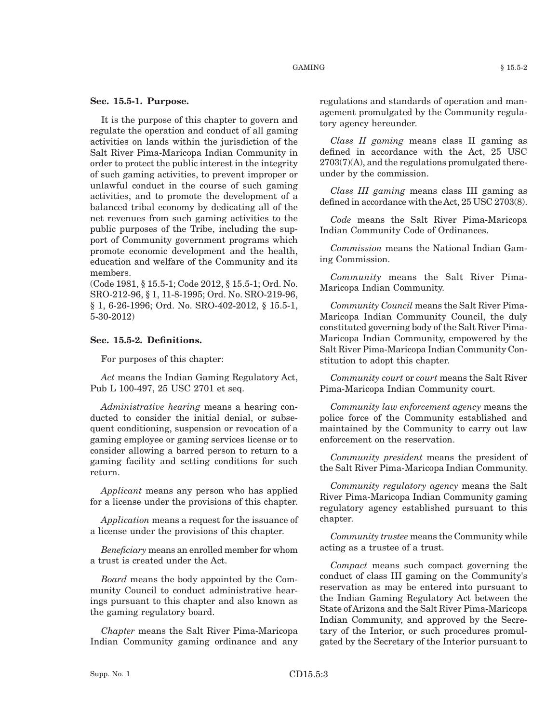#### **Sec. 15.5-1. Purpose.**

It is the purpose of this chapter to govern and regulate the operation and conduct of all gaming activities on lands within the jurisdiction of the Salt River Pima-Maricopa Indian Community in order to protect the public interest in the integrity of such gaming activities, to prevent improper or unlawful conduct in the course of such gaming activities, and to promote the development of a balanced tribal economy by dedicating all of the net revenues from such gaming activities to the public purposes of the Tribe, including the support of Community government programs which promote economic development and the health, education and welfare of the Community and its members.

(Code 1981, § 15.5-1; Code 2012, § 15.5-1; Ord. No. SRO-212-96, § 1, 11-8-1995; Ord. No. SRO-219-96, § 1, 6-26-1996; Ord. No. SRO-402-2012, § 15.5-1, 5-30-2012)

### **Sec. 15.5-2. Definitions.**

For purposes of this chapter:

*Act* means the Indian Gaming Regulatory Act, Pub L 100-497, 25 USC 2701 et seq.

*Administrative hearing* means a hearing conducted to consider the initial denial, or subsequent conditioning, suspension or revocation of a gaming employee or gaming services license or to consider allowing a barred person to return to a gaming facility and setting conditions for such return.

*Applicant* means any person who has applied for a license under the provisions of this chapter.

*Application* means a request for the issuance of a license under the provisions of this chapter.

*Beneficiary* means an enrolled member for whom a trust is created under the Act.

*Board* means the body appointed by the Community Council to conduct administrative hearings pursuant to this chapter and also known as the gaming regulatory board.

*Chapter* means the Salt River Pima-Maricopa Indian Community gaming ordinance and any regulations and standards of operation and management promulgated by the Community regulatory agency hereunder.

*Class II gaming* means class II gaming as defined in accordance with the Act, 25 USC 2703(7)(A), and the regulations promulgated thereunder by the commission.

*Class III gaming* means class III gaming as defined in accordance with theAct, 25 USC 2703(8).

*Code* means the Salt River Pima-Maricopa Indian Community Code of Ordinances.

*Commission* means the National Indian Gaming Commission.

*Community* means the Salt River Pima-Maricopa Indian Community.

*Community Council* means the Salt River Pima-Maricopa Indian Community Council, the duly constituted governing body of the Salt River Pima-Maricopa Indian Community, empowered by the Salt River Pima-Maricopa Indian Community Constitution to adopt this chapter.

*Community court* or *court* means the Salt River Pima-Maricopa Indian Community court.

*Community law enforcement agency* means the police force of the Community established and maintained by the Community to carry out law enforcement on the reservation.

*Community president* means the president of the Salt River Pima-Maricopa Indian Community.

*Community regulatory agency* means the Salt River Pima-Maricopa Indian Community gaming regulatory agency established pursuant to this chapter.

*Community trustee* means the Community while acting as a trustee of a trust.

*Compact* means such compact governing the conduct of class III gaming on the Community's reservation as may be entered into pursuant to the Indian Gaming Regulatory Act between the State of Arizona and the Salt River Pima-Maricopa Indian Community, and approved by the Secretary of the Interior, or such procedures promulgated by the Secretary of the Interior pursuant to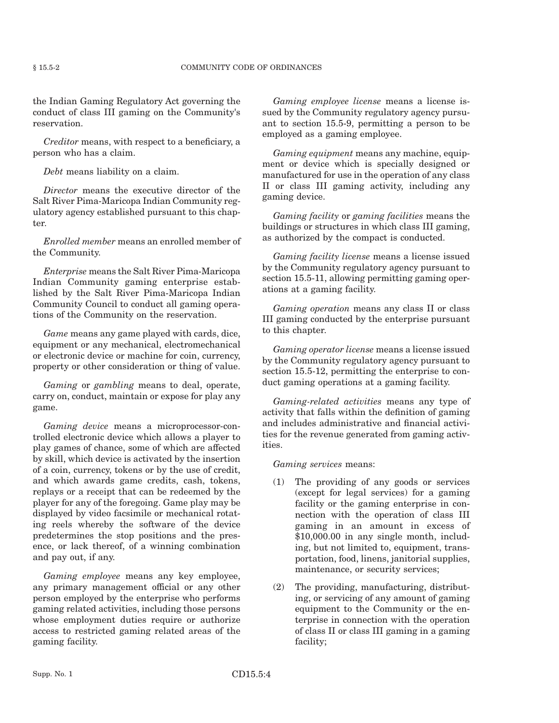the Indian Gaming Regulatory Act governing the conduct of class III gaming on the Community's reservation.

*Creditor* means, with respect to a beneficiary, a person who has a claim.

*Debt* means liability on a claim.

*Director* means the executive director of the Salt River Pima-Maricopa Indian Community regulatory agency established pursuant to this chapter.

*Enrolled member* means an enrolled member of the Community.

*Enterprise* means the Salt River Pima-Maricopa Indian Community gaming enterprise established by the Salt River Pima-Maricopa Indian Community Council to conduct all gaming operations of the Community on the reservation.

*Game* means any game played with cards, dice, equipment or any mechanical, electromechanical or electronic device or machine for coin, currency, property or other consideration or thing of value.

*Gaming* or *gambling* means to deal, operate, carry on, conduct, maintain or expose for play any game.

*Gaming device* means a microprocessor-controlled electronic device which allows a player to play games of chance, some of which are affected by skill, which device is activated by the insertion of a coin, currency, tokens or by the use of credit, and which awards game credits, cash, tokens, replays or a receipt that can be redeemed by the player for any of the foregoing. Game play may be displayed by video facsimile or mechanical rotating reels whereby the software of the device predetermines the stop positions and the presence, or lack thereof, of a winning combination and pay out, if any.

*Gaming employee* means any key employee, any primary management official or any other person employed by the enterprise who performs gaming related activities, including those persons whose employment duties require or authorize access to restricted gaming related areas of the gaming facility.

*Gaming employee license* means a license issued by the Community regulatory agency pursuant to section 15.5-9, permitting a person to be employed as a gaming employee.

*Gaming equipment* means any machine, equipment or device which is specially designed or manufactured for use in the operation of any class II or class III gaming activity, including any gaming device.

*Gaming facility* or *gaming facilities* means the buildings or structures in which class III gaming, as authorized by the compact is conducted.

*Gaming facility license* means a license issued by the Community regulatory agency pursuant to section 15.5-11, allowing permitting gaming operations at a gaming facility.

*Gaming operation* means any class II or class III gaming conducted by the enterprise pursuant to this chapter.

*Gaming operator license* means a license issued by the Community regulatory agency pursuant to section 15.5-12, permitting the enterprise to conduct gaming operations at a gaming facility.

*Gaming-related activities* means any type of activity that falls within the definition of gaming and includes administrative and financial activities for the revenue generated from gaming activities.

*Gaming services* means:

- (1) The providing of any goods or services (except for legal services) for a gaming facility or the gaming enterprise in connection with the operation of class III gaming in an amount in excess of \$10,000.00 in any single month, including, but not limited to, equipment, transportation, food, linens, janitorial supplies, maintenance, or security services;
- (2) The providing, manufacturing, distributing, or servicing of any amount of gaming equipment to the Community or the enterprise in connection with the operation of class II or class III gaming in a gaming facility;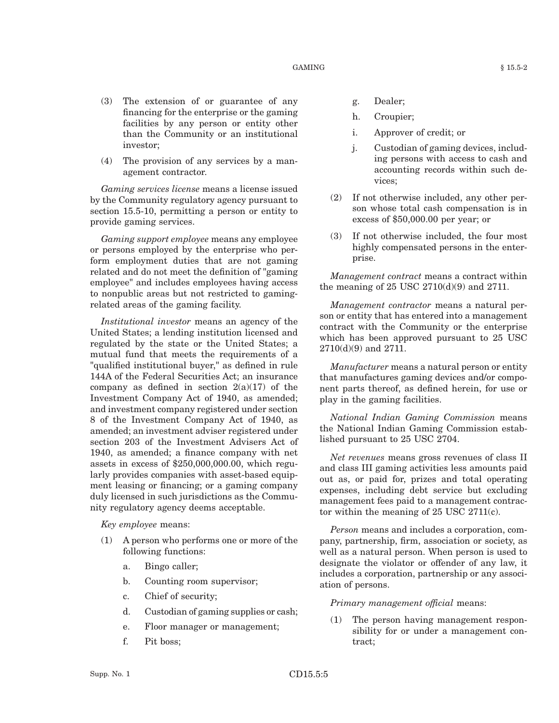#### $GAMING$   $§ 15.5-2$

- (3) The extension of or guarantee of any financing for the enterprise or the gaming facilities by any person or entity other than the Community or an institutional investor;
- (4) The provision of any services by a management contractor.

*Gaming services license* means a license issued by the Community regulatory agency pursuant to section 15.5-10, permitting a person or entity to provide gaming services.

*Gaming support employee* means any employee or persons employed by the enterprise who perform employment duties that are not gaming related and do not meet the definition of "gaming employee" and includes employees having access to nonpublic areas but not restricted to gamingrelated areas of the gaming facility.

*Institutional investor* means an agency of the United States; a lending institution licensed and regulated by the state or the United States; a mutual fund that meets the requirements of a "qualified institutional buyer," as defined in rule 144A of the Federal Securities Act; an insurance company as defined in section  $2(a)(17)$  of the Investment Company Act of 1940, as amended; and investment company registered under section 8 of the Investment Company Act of 1940, as amended; an investment adviser registered under section 203 of the Investment Advisers Act of 1940, as amended; a finance company with net assets in excess of \$250,000,000.00, which regularly provides companies with asset-based equipment leasing or financing; or a gaming company duly licensed in such jurisdictions as the Community regulatory agency deems acceptable.

*Key employee* means:

- (1) A person who performs one or more of the following functions:
	- a. Bingo caller;
	- b. Counting room supervisor;
	- c. Chief of security;
	- d. Custodian of gaming supplies or cash;
	- e. Floor manager or management;
	- f. Pit boss;
- g. Dealer;
- h. Croupier;
- i. Approver of credit; or
- j. Custodian of gaming devices, including persons with access to cash and accounting records within such devices;
- (2) If not otherwise included, any other person whose total cash compensation is in excess of \$50,000.00 per year; or
- (3) If not otherwise included, the four most highly compensated persons in the enterprise.

*Management contract* means a contract within the meaning of  $25 \text{ USC } 2710(d)(9)$  and  $2711$ .

*Management contractor* means a natural person or entity that has entered into a management contract with the Community or the enterprise which has been approved pursuant to 25 USC 2710(d)(9) and 2711.

*Manufacturer* means a natural person or entity that manufactures gaming devices and/or component parts thereof, as defined herein, for use or play in the gaming facilities.

*National Indian Gaming Commission* means the National Indian Gaming Commission established pursuant to 25 USC 2704.

*Net revenues* means gross revenues of class II and class III gaming activities less amounts paid out as, or paid for, prizes and total operating expenses, including debt service but excluding management fees paid to a management contractor within the meaning of 25 USC 2711(c).

*Person* means and includes a corporation, company, partnership, firm, association or society, as well as a natural person. When person is used to designate the violator or offender of any law, it includes a corporation, partnership or any association of persons.

*Primary management official* means:

(1) The person having management responsibility for or under a management contract;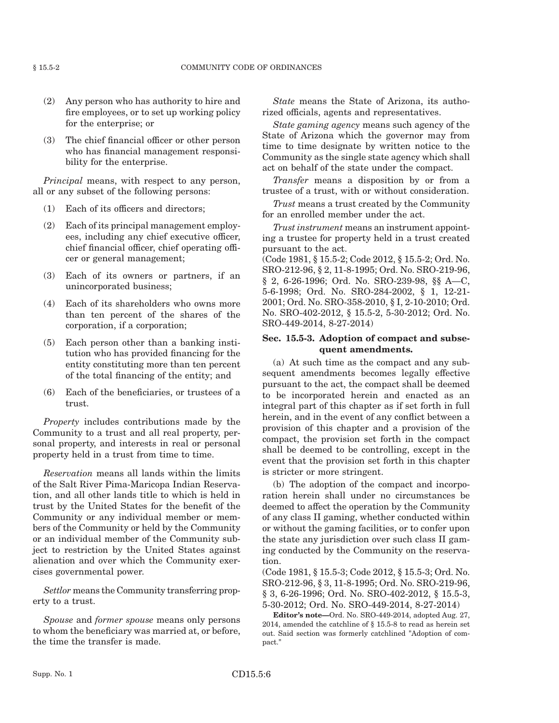- (2) Any person who has authority to hire and fire employees, or to set up working policy for the enterprise; or
- (3) The chief financial officer or other person who has financial management responsibility for the enterprise.

*Principal* means, with respect to any person, all or any subset of the following persons:

- (1) Each of its officers and directors;
- (2) Each of its principal management employees, including any chief executive officer, chief financial officer, chief operating officer or general management;
- (3) Each of its owners or partners, if an unincorporated business;
- (4) Each of its shareholders who owns more than ten percent of the shares of the corporation, if a corporation;
- (5) Each person other than a banking institution who has provided financing for the entity constituting more than ten percent of the total financing of the entity; and
- (6) Each of the beneficiaries, or trustees of a trust.

*Property* includes contributions made by the Community to a trust and all real property, personal property, and interests in real or personal property held in a trust from time to time.

*Reservation* means all lands within the limits of the Salt River Pima-Maricopa Indian Reservation, and all other lands title to which is held in trust by the United States for the benefit of the Community or any individual member or members of the Community or held by the Community or an individual member of the Community subject to restriction by the United States against alienation and over which the Community exercises governmental power.

*Settlor* means the Community transferring property to a trust.

*Spouse* and *former spouse* means only persons to whom the beneficiary was married at, or before, the time the transfer is made.

*State* means the State of Arizona, its authorized officials, agents and representatives.

*State gaming agency* means such agency of the State of Arizona which the governor may from time to time designate by written notice to the Community as the single state agency which shall act on behalf of the state under the compact.

*Transfer* means a disposition by or from a trustee of a trust, with or without consideration.

*Trust* means a trust created by the Community for an enrolled member under the act.

*Trust instrument* means an instrument appointing a trustee for property held in a trust created pursuant to the act.

(Code 1981, § 15.5-2; Code 2012, § 15.5-2; Ord. No. SRO-212-96, § 2, 11-8-1995; Ord. No. SRO-219-96, § 2, 6-26-1996; Ord. No. SRO-239-98, §§ A—C, 5-6-1998; Ord. No. SRO-284-2002, § 1, 12-21- 2001; Ord. No. SRO-358-2010, § I, 2-10-2010; Ord. No. SRO-402-2012, § 15.5-2, 5-30-2012; Ord. No. SRO-449-2014, 8-27-2014)

## **Sec. 15.5-3. Adoption of compact and subsequent amendments.**

(a) At such time as the compact and any subsequent amendments becomes legally effective pursuant to the act, the compact shall be deemed to be incorporated herein and enacted as an integral part of this chapter as if set forth in full herein, and in the event of any conflict between a provision of this chapter and a provision of the compact, the provision set forth in the compact shall be deemed to be controlling, except in the event that the provision set forth in this chapter is stricter or more stringent.

(b) The adoption of the compact and incorporation herein shall under no circumstances be deemed to affect the operation by the Community of any class II gaming, whether conducted within or without the gaming facilities, or to confer upon the state any jurisdiction over such class II gaming conducted by the Community on the reservation.

(Code 1981, § 15.5-3; Code 2012, § 15.5-3; Ord. No. SRO-212-96, § 3, 11-8-1995; Ord. No. SRO-219-96, § 3, 6-26-1996; Ord. No. SRO-402-2012, § 15.5-3, 5-30-2012; Ord. No. SRO-449-2014, 8-27-2014)

**Editor's note—**Ord. No. SRO-449-2014, adopted Aug. 27, 2014, amended the catchline of § 15.5-8 to read as herein set out. Said section was formerly catchlined "Adoption of compact."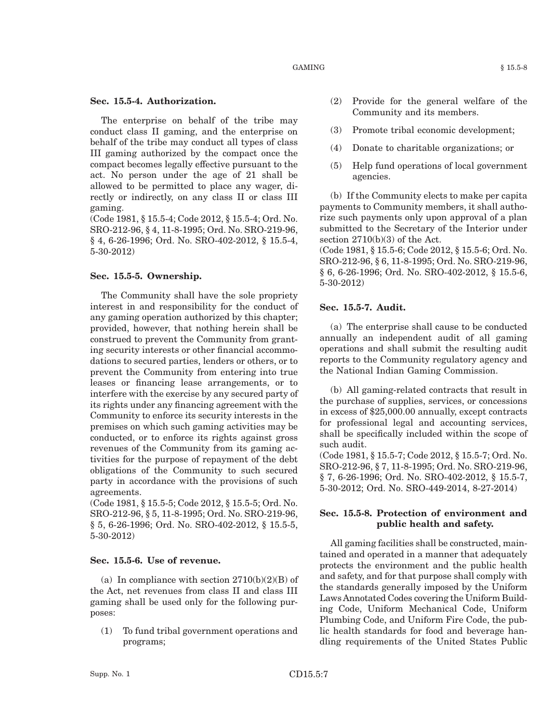The enterprise on behalf of the tribe may conduct class II gaming, and the enterprise on behalf of the tribe may conduct all types of class III gaming authorized by the compact once the compact becomes legally effective pursuant to the act. No person under the age of 21 shall be allowed to be permitted to place any wager, directly or indirectly, on any class II or class III gaming.

(Code 1981, § 15.5-4; Code 2012, § 15.5-4; Ord. No. SRO-212-96, § 4, 11-8-1995; Ord. No. SRO-219-96, § 4, 6-26-1996; Ord. No. SRO-402-2012, § 15.5-4, 5-30-2012)

#### **Sec. 15.5-5. Ownership.**

The Community shall have the sole propriety interest in and responsibility for the conduct of any gaming operation authorized by this chapter; provided, however, that nothing herein shall be construed to prevent the Community from granting security interests or other financial accommodations to secured parties, lenders or others, or to prevent the Community from entering into true leases or financing lease arrangements, or to interfere with the exercise by any secured party of its rights under any financing agreement with the Community to enforce its security interests in the premises on which such gaming activities may be conducted, or to enforce its rights against gross revenues of the Community from its gaming activities for the purpose of repayment of the debt obligations of the Community to such secured party in accordance with the provisions of such agreements.

(Code 1981, § 15.5-5; Code 2012, § 15.5-5; Ord. No. SRO-212-96, § 5, 11-8-1995; Ord. No. SRO-219-96, § 5, 6-26-1996; Ord. No. SRO-402-2012, § 15.5-5, 5-30-2012)

#### **Sec. 15.5-6. Use of revenue.**

(a) In compliance with section  $2710(b)(2)(B)$  of the Act, net revenues from class II and class III gaming shall be used only for the following purposes:

(1) To fund tribal government operations and programs;

- (2) Provide for the general welfare of the Community and its members.
- (3) Promote tribal economic development;
- (4) Donate to charitable organizations; or
- (5) Help fund operations of local government agencies.

(b) If the Community elects to make per capita payments to Community members, it shall authorize such payments only upon approval of a plan submitted to the Secretary of the Interior under section 2710(b)(3) of the Act.

(Code 1981, § 15.5-6; Code 2012, § 15.5-6; Ord. No. SRO-212-96, § 6, 11-8-1995; Ord. No. SRO-219-96, § 6, 6-26-1996; Ord. No. SRO-402-2012, § 15.5-6, 5-30-2012)

## **Sec. 15.5-7. Audit.**

(a) The enterprise shall cause to be conducted annually an independent audit of all gaming operations and shall submit the resulting audit reports to the Community regulatory agency and the National Indian Gaming Commission.

(b) All gaming-related contracts that result in the purchase of supplies, services, or concessions in excess of \$25,000.00 annually, except contracts for professional legal and accounting services, shall be specifically included within the scope of such audit.

(Code 1981, § 15.5-7; Code 2012, § 15.5-7; Ord. No. SRO-212-96, § 7, 11-8-1995; Ord. No. SRO-219-96, § 7, 6-26-1996; Ord. No. SRO-402-2012, § 15.5-7, 5-30-2012; Ord. No. SRO-449-2014, 8-27-2014)

## **Sec. 15.5-8. Protection of environment and public health and safety.**

All gaming facilities shall be constructed, maintained and operated in a manner that adequately protects the environment and the public health and safety, and for that purpose shall comply with the standards generally imposed by the Uniform LawsAnnotated Codes covering the Uniform Building Code, Uniform Mechanical Code, Uniform Plumbing Code, and Uniform Fire Code, the public health standards for food and beverage handling requirements of the United States Public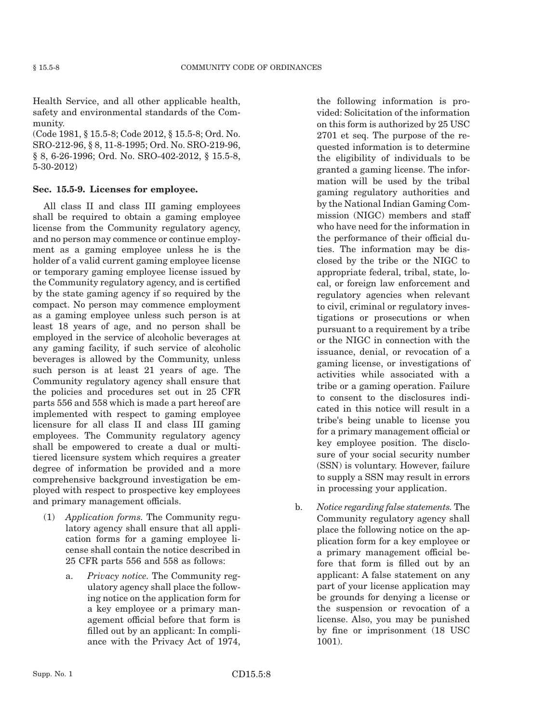Health Service, and all other applicable health, safety and environmental standards of the Community.

(Code 1981, § 15.5-8; Code 2012, § 15.5-8; Ord. No. SRO-212-96, § 8, 11-8-1995; Ord. No. SRO-219-96, § 8, 6-26-1996; Ord. No. SRO-402-2012, § 15.5-8, 5-30-2012)

## **Sec. 15.5-9. Licenses for employee.**

All class II and class III gaming employees shall be required to obtain a gaming employee license from the Community regulatory agency, and no person may commence or continue employment as a gaming employee unless he is the holder of a valid current gaming employee license or temporary gaming employee license issued by the Community regulatory agency, and is certified by the state gaming agency if so required by the compact. No person may commence employment as a gaming employee unless such person is at least 18 years of age, and no person shall be employed in the service of alcoholic beverages at any gaming facility, if such service of alcoholic beverages is allowed by the Community, unless such person is at least 21 years of age. The Community regulatory agency shall ensure that the policies and procedures set out in 25 CFR parts 556 and 558 which is made a part hereof are implemented with respect to gaming employee licensure for all class II and class III gaming employees. The Community regulatory agency shall be empowered to create a dual or multitiered licensure system which requires a greater degree of information be provided and a more comprehensive background investigation be employed with respect to prospective key employees and primary management officials.

- (1) *Application forms.* The Community regulatory agency shall ensure that all application forms for a gaming employee license shall contain the notice described in 25 CFR parts 556 and 558 as follows:
	- a. *Privacy notice.* The Community regulatory agency shall place the following notice on the application form for a key employee or a primary management official before that form is filled out by an applicant: In compliance with the Privacy Act of 1974,

the following information is provided: Solicitation of the information on this form is authorized by 25 USC 2701 et seq. The purpose of the requested information is to determine the eligibility of individuals to be granted a gaming license. The information will be used by the tribal gaming regulatory authorities and by the National Indian Gaming Commission (NIGC) members and staff who have need for the information in the performance of their official duties. The information may be disclosed by the tribe or the NIGC to appropriate federal, tribal, state, local, or foreign law enforcement and regulatory agencies when relevant to civil, criminal or regulatory investigations or prosecutions or when pursuant to a requirement by a tribe or the NIGC in connection with the issuance, denial, or revocation of a gaming license, or investigations of activities while associated with a tribe or a gaming operation. Failure to consent to the disclosures indicated in this notice will result in a tribe's being unable to license you for a primary management official or key employee position. The disclosure of your social security number (SSN) is voluntary. However, failure to supply a SSN may result in errors in processing your application.

b. *Notice regarding false statements.* The Community regulatory agency shall place the following notice on the application form for a key employee or a primary management official before that form is filled out by an applicant: A false statement on any part of your license application may be grounds for denying a license or the suspension or revocation of a license. Also, you may be punished by fine or imprisonment (18 USC 1001).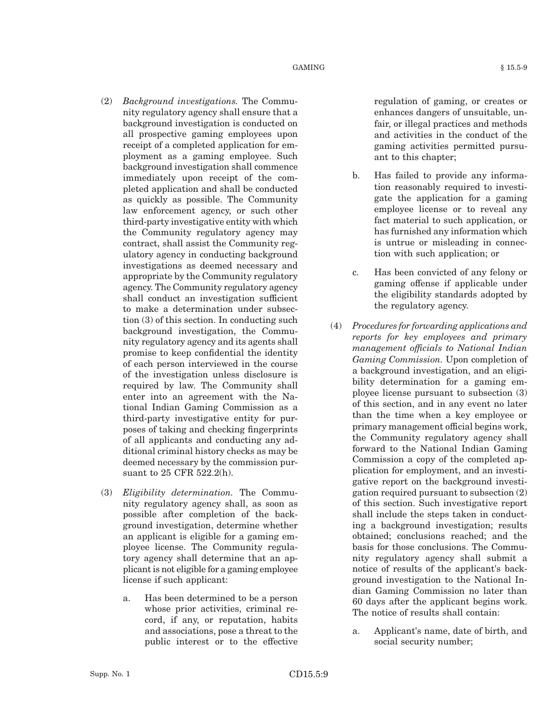$GAMING$   $§ 15.5-9$ 

- (2) *Background investigations.* The Community regulatory agency shall ensure that a background investigation is conducted on all prospective gaming employees upon receipt of a completed application for employment as a gaming employee. Such background investigation shall commence immediately upon receipt of the completed application and shall be conducted as quickly as possible. The Community law enforcement agency, or such other third-party investigative entity with which the Community regulatory agency may contract, shall assist the Community regulatory agency in conducting background investigations as deemed necessary and appropriate by the Community regulatory agency. The Community regulatory agency shall conduct an investigation sufficient to make a determination under subsection (3) of this section. In conducting such background investigation, the Community regulatory agency and its agents shall promise to keep confidential the identity of each person interviewed in the course of the investigation unless disclosure is required by law. The Community shall enter into an agreement with the National Indian Gaming Commission as a third-party investigative entity for purposes of taking and checking fingerprints of all applicants and conducting any ad-
- ditional criminal history checks as may be deemed necessary by the commission pursuant to 25 CFR 522.2(h). (3) *Eligibility determination.* The Commu-
- nity regulatory agency shall, as soon as possible after completion of the background investigation, determine whether an applicant is eligible for a gaming employee license. The Community regulatory agency shall determine that an applicant is not eligible for a gaming employee license if such applicant:
	- a. Has been determined to be a person whose prior activities, criminal record, if any, or reputation, habits and associations, pose a threat to the public interest or to the effective

regulation of gaming, or creates or enhances dangers of unsuitable, unfair, or illegal practices and methods and activities in the conduct of the gaming activities permitted pursuant to this chapter;

- b. Has failed to provide any information reasonably required to investigate the application for a gaming employee license or to reveal any fact material to such application, or has furnished any information which is untrue or misleading in connection with such application; or
- c. Has been convicted of any felony or gaming offense if applicable under the eligibility standards adopted by the regulatory agency.
- (4) *Procedures for forwarding applications and reports for key employees and primary management officials to National Indian Gaming Commission.* Upon completion of a background investigation, and an eligibility determination for a gaming employee license pursuant to subsection (3) of this section, and in any event no later than the time when a key employee or primary management official begins work, the Community regulatory agency shall forward to the National Indian Gaming Commission a copy of the completed application for employment, and an investigative report on the background investigation required pursuant to subsection (2) of this section. Such investigative report shall include the steps taken in conducting a background investigation; results obtained; conclusions reached; and the basis for those conclusions. The Community regulatory agency shall submit a notice of results of the applicant's background investigation to the National Indian Gaming Commission no later than 60 days after the applicant begins work. The notice of results shall contain:
	- a. Applicant's name, date of birth, and social security number;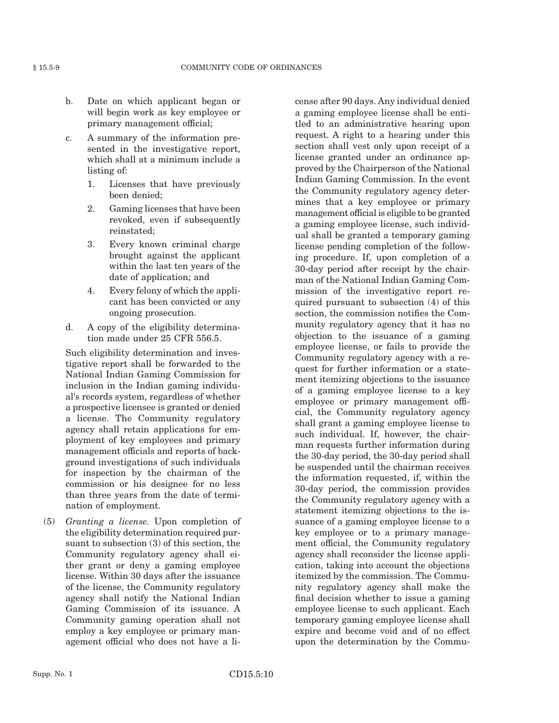- b. Date on which applicant began or will begin work as key employee or primary management official;
- c. A summary of the information presented in the investigative report, which shall at a minimum include a listing of:
	- 1. Licenses that have previously been denied;
	- 2. Gaming licenses that have been revoked, even if subsequently reinstated;
	- 3. Every known criminal charge brought against the applicant within the last ten years of the date of application; and
	- 4. Every felony of which the applicant has been convicted or any ongoing prosecution.
- d. A copy of the eligibility determination made under 25 CFR 556.5.

Such eligibility determination and investigative report shall be forwarded to the National Indian Gaming Commission for inclusion in the Indian gaming individual's records system, regardless of whether a prospective licensee is granted or denied a license. The Community regulatory agency shall retain applications for employment of key employees and primary management officials and reports of background investigations of such individuals for inspection by the chairman of the commission or his designee for no less than three years from the date of termination of employment.

(5) *Granting a license.* Upon completion of the eligibility determination required pursuant to subsection (3) of this section, the Community regulatory agency shall either grant or deny a gaming employee license. Within 30 days after the issuance of the license, the Community regulatory agency shall notify the National Indian Gaming Commission of its issuance. A Community gaming operation shall not employ a key employee or primary management official who does not have a license after 90 days. Any individual denied a gaming employee license shall be entitled to an administrative hearing upon request. A right to a hearing under this section shall vest only upon receipt of a license granted under an ordinance approved by the Chairperson of the National Indian Gaming Commission. In the event the Community regulatory agency determines that a key employee or primary management official is eligible to be granted a gaming employee license, such individual shall be granted a temporary gaming license pending completion of the following procedure. If, upon completion of a 30-day period after receipt by the chairman of the National Indian Gaming Commission of the investigative report required pursuant to subsection (4) of this section, the commission notifies the Community regulatory agency that it has no objection to the issuance of a gaming employee license, or fails to provide the Community regulatory agency with a request for further information or a statement itemizing objections to the issuance of a gaming employee license to a key employee or primary management official, the Community regulatory agency shall grant a gaming employee license to such individual. If, however, the chairman requests further information during the 30-day period, the 30-day period shall be suspended until the chairman receives the information requested, if, within the 30-day period, the commission provides the Community regulatory agency with a statement itemizing objections to the issuance of a gaming employee license to a key employee or to a primary management official, the Community regulatory agency shall reconsider the license application, taking into account the objections itemized by the commission. The Community regulatory agency shall make the final decision whether to issue a gaming employee license to such applicant. Each temporary gaming employee license shall expire and become void and of no effect upon the determination by the Commu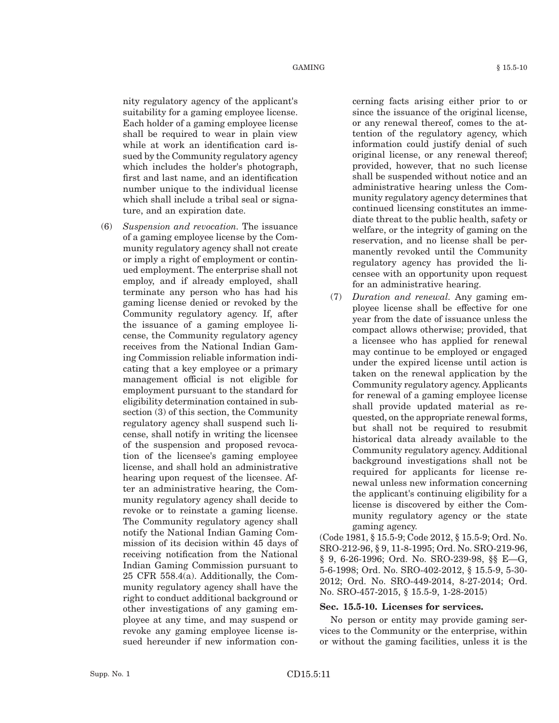nity regulatory agency of the applicant's suitability for a gaming employee license. Each holder of a gaming employee license shall be required to wear in plain view while at work an identification card issued by the Community regulatory agency which includes the holder's photograph, first and last name, and an identification number unique to the individual license which shall include a tribal seal or signature, and an expiration date.

(6) *Suspension and revocation.* The issuance of a gaming employee license by the Community regulatory agency shall not create or imply a right of employment or continued employment. The enterprise shall not employ, and if already employed, shall terminate any person who has had his gaming license denied or revoked by the Community regulatory agency. If, after the issuance of a gaming employee license, the Community regulatory agency receives from the National Indian Gaming Commission reliable information indicating that a key employee or a primary management official is not eligible for employment pursuant to the standard for eligibility determination contained in subsection (3) of this section, the Community regulatory agency shall suspend such license, shall notify in writing the licensee of the suspension and proposed revocation of the licensee's gaming employee license, and shall hold an administrative hearing upon request of the licensee. After an administrative hearing, the Community regulatory agency shall decide to revoke or to reinstate a gaming license. The Community regulatory agency shall notify the National Indian Gaming Commission of its decision within 45 days of receiving notification from the National Indian Gaming Commission pursuant to 25 CFR 558.4(a). Additionally, the Community regulatory agency shall have the right to conduct additional background or other investigations of any gaming employee at any time, and may suspend or revoke any gaming employee license issued hereunder if new information concerning facts arising either prior to or since the issuance of the original license, or any renewal thereof, comes to the attention of the regulatory agency, which information could justify denial of such original license, or any renewal thereof; provided, however, that no such license shall be suspended without notice and an administrative hearing unless the Community regulatory agency determines that continued licensing constitutes an immediate threat to the public health, safety or welfare, or the integrity of gaming on the reservation, and no license shall be permanently revoked until the Community regulatory agency has provided the licensee with an opportunity upon request for an administrative hearing.

(7) *Duration and renewal.* Any gaming employee license shall be effective for one year from the date of issuance unless the compact allows otherwise; provided, that a licensee who has applied for renewal may continue to be employed or engaged under the expired license until action is taken on the renewal application by the Community regulatory agency. Applicants for renewal of a gaming employee license shall provide updated material as requested, on the appropriate renewal forms, but shall not be required to resubmit historical data already available to the Community regulatory agency. Additional background investigations shall not be required for applicants for license renewal unless new information concerning the applicant's continuing eligibility for a license is discovered by either the Community regulatory agency or the state gaming agency.

(Code 1981, § 15.5-9; Code 2012, § 15.5-9; Ord. No. SRO-212-96, § 9, 11-8-1995; Ord. No. SRO-219-96, § 9, 6-26-1996; Ord. No. SRO-239-98, §§ E—G, 5-6-1998; Ord. No. SRO-402-2012, § 15.5-9, 5-30- 2012; Ord. No. SRO-449-2014, 8-27-2014; Ord. No. SRO-457-2015, § 15.5-9, 1-28-2015)

#### **Sec. 15.5-10. Licenses for services.**

No person or entity may provide gaming services to the Community or the enterprise, within or without the gaming facilities, unless it is the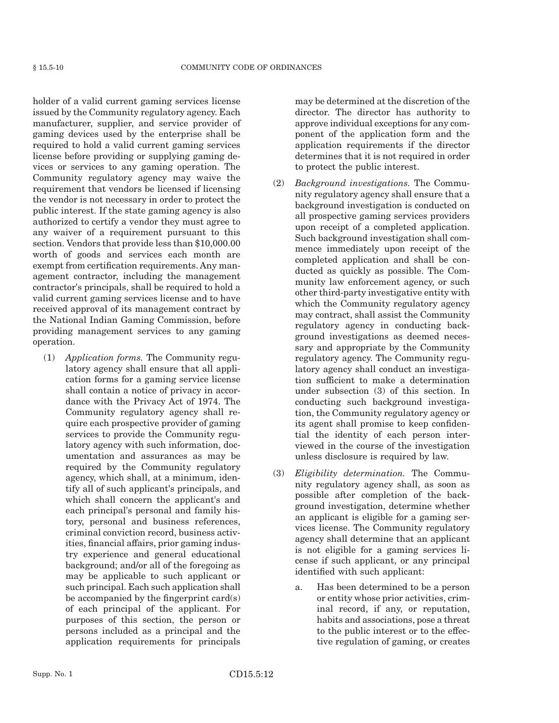holder of a valid current gaming services license issued by the Community regulatory agency. Each manufacturer, supplier, and service provider of gaming devices used by the enterprise shall be required to hold a valid current gaming services license before providing or supplying gaming devices or services to any gaming operation. The Community regulatory agency may waive the requirement that vendors be licensed if licensing the vendor is not necessary in order to protect the public interest. If the state gaming agency is also authorized to certify a vendor they must agree to any waiver of a requirement pursuant to this section. Vendors that provide less than \$10,000.00 worth of goods and services each month are exempt from certification requirements. Any management contractor, including the management contractor's principals, shall be required to hold a valid current gaming services license and to have received approval of its management contract by the National Indian Gaming Commission, before providing management services to any gaming operation.

(1) *Application forms.* The Community regulatory agency shall ensure that all application forms for a gaming service license shall contain a notice of privacy in accordance with the Privacy Act of 1974. The Community regulatory agency shall require each prospective provider of gaming services to provide the Community regulatory agency with such information, documentation and assurances as may be required by the Community regulatory agency, which shall, at a minimum, identify all of such applicant's principals, and which shall concern the applicant's and each principal's personal and family history, personal and business references, criminal conviction record, business activities, financial affairs, prior gaming industry experience and general educational background; and/or all of the foregoing as may be applicable to such applicant or such principal. Each such application shall be accompanied by the fingerprint card(s) of each principal of the applicant. For purposes of this section, the person or persons included as a principal and the application requirements for principals may be determined at the discretion of the director. The director has authority to approve individual exceptions for any component of the application form and the application requirements if the director determines that it is not required in order to protect the public interest.

- (2) *Background investigations.* The Community regulatory agency shall ensure that a background investigation is conducted on all prospective gaming services providers upon receipt of a completed application. Such background investigation shall commence immediately upon receipt of the completed application and shall be conducted as quickly as possible. The Community law enforcement agency, or such other third-party investigative entity with which the Community regulatory agency may contract, shall assist the Community regulatory agency in conducting background investigations as deemed necessary and appropriate by the Community regulatory agency. The Community regulatory agency shall conduct an investigation sufficient to make a determination under subsection (3) of this section. In conducting such background investigation, the Community regulatory agency or its agent shall promise to keep confidential the identity of each person interviewed in the course of the investigation unless disclosure is required by law.
- (3) *Eligibility determination.* The Community regulatory agency shall, as soon as possible after completion of the background investigation, determine whether an applicant is eligible for a gaming services license. The Community regulatory agency shall determine that an applicant is not eligible for a gaming services license if such applicant, or any principal identified with such applicant:
	- a. Has been determined to be a person or entity whose prior activities, criminal record, if any, or reputation, habits and associations, pose a threat to the public interest or to the effective regulation of gaming, or creates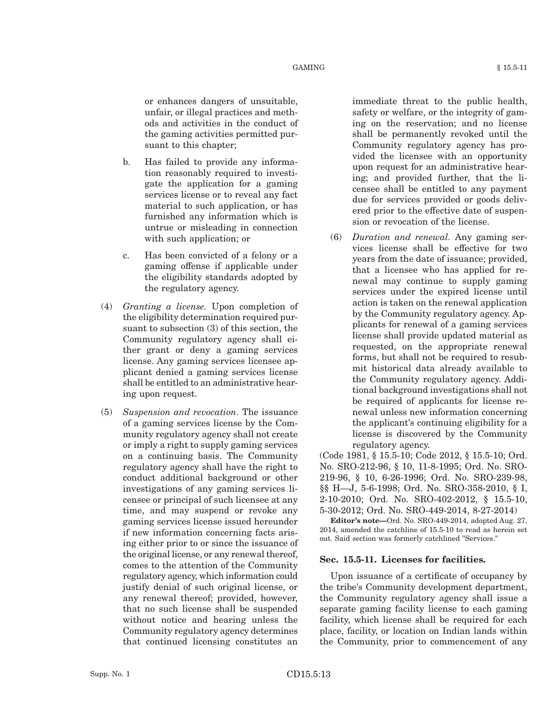or enhances dangers of unsuitable, unfair, or illegal practices and methods and activities in the conduct of the gaming activities permitted pursuant to this chapter;

- b. Has failed to provide any information reasonably required to investigate the application for a gaming services license or to reveal any fact material to such application, or has furnished any information which is untrue or misleading in connection with such application; or
- c. Has been convicted of a felony or a gaming offense if applicable under the eligibility standards adopted by the regulatory agency.
- (4) *Granting a license.* Upon completion of the eligibility determination required pursuant to subsection (3) of this section, the Community regulatory agency shall either grant or deny a gaming services license. Any gaming services licensee applicant denied a gaming services license shall be entitled to an administrative hearing upon request.
- (5) *Suspension and revocation.* The issuance of a gaming services license by the Community regulatory agency shall not create or imply a right to supply gaming services on a continuing basis. The Community regulatory agency shall have the right to conduct additional background or other investigations of any gaming services licensee or principal of such licensee at any time, and may suspend or revoke any gaming services license issued hereunder if new information concerning facts arising either prior to or since the issuance of the original license, or any renewal thereof, comes to the attention of the Community regulatory agency, which information could justify denial of such original license, or any renewal thereof; provided, however, that no such license shall be suspended without notice and hearing unless the Community regulatory agency determines that continued licensing constitutes an

immediate threat to the public health, safety or welfare, or the integrity of gaming on the reservation; and no license shall be permanently revoked until the Community regulatory agency has provided the licensee with an opportunity upon request for an administrative hearing; and provided further, that the licensee shall be entitled to any payment due for services provided or goods delivered prior to the effective date of suspension or revocation of the license.

(6) *Duration and renewal.* Any gaming services license shall be effective for two years from the date of issuance; provided, that a licensee who has applied for renewal may continue to supply gaming services under the expired license until action is taken on the renewal application by the Community regulatory agency. Applicants for renewal of a gaming services license shall provide updated material as requested, on the appropriate renewal forms, but shall not be required to resubmit historical data already available to the Community regulatory agency. Additional background investigations shall not be required of applicants for license renewal unless new information concerning the applicant's continuing eligibility for a license is discovered by the Community regulatory agency.

(Code 1981, § 15.5-10; Code 2012, § 15.5-10; Ord. No. SRO-212-96, § 10, 11-8-1995; Ord. No. SRO-219-96, § 10, 6-26-1996; Ord. No. SRO-239-98, §§ H—J, 5-6-1998; Ord. No. SRO-358-2010, § I, 2-10-2010; Ord. No. SRO-402-2012, § 15.5-10, 5-30-2012; Ord. No. SRO-449-2014, 8-27-2014)

**Editor's note—**Ord. No. SRO-449-2014, adopted Aug. 27, 2014, amended the catchline of 15.5-10 to read as herein set out. Said section was formerly catchlined "Services."

## **Sec. 15.5-11. Licenses for facilities.**

Upon issuance of a certificate of occupancy by the tribe's Community development department, the Community regulatory agency shall issue a separate gaming facility license to each gaming facility, which license shall be required for each place, facility, or location on Indian lands within the Community, prior to commencement of any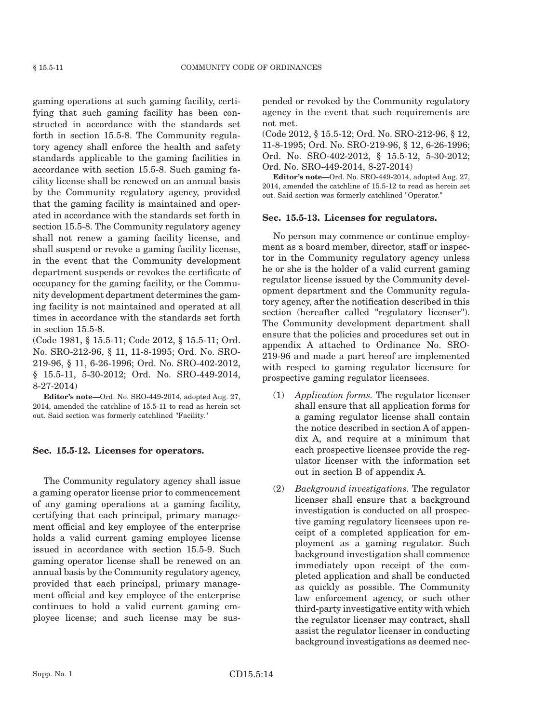gaming operations at such gaming facility, certifying that such gaming facility has been constructed in accordance with the standards set forth in section 15.5-8. The Community regulatory agency shall enforce the health and safety standards applicable to the gaming facilities in accordance with section 15.5-8. Such gaming facility license shall be renewed on an annual basis by the Community regulatory agency, provided that the gaming facility is maintained and operated in accordance with the standards set forth in section 15.5-8. The Community regulatory agency shall not renew a gaming facility license, and shall suspend or revoke a gaming facility license, in the event that the Community development department suspends or revokes the certificate of occupancy for the gaming facility, or the Community development department determines the gaming facility is not maintained and operated at all times in accordance with the standards set forth in section 15.5-8.

(Code 1981, § 15.5-11; Code 2012, § 15.5-11; Ord. No. SRO-212-96, § 11, 11-8-1995; Ord. No. SRO-219-96, § 11, 6-26-1996; Ord. No. SRO-402-2012, § 15.5-11, 5-30-2012; Ord. No. SRO-449-2014, 8-27-2014)

**Editor's note—**Ord. No. SRO-449-2014, adopted Aug. 27, 2014, amended the catchline of 15.5-11 to read as herein set out. Said section was formerly catchlined "Facility."

## **Sec. 15.5-12. Licenses for operators.**

The Community regulatory agency shall issue a gaming operator license prior to commencement of any gaming operations at a gaming facility, certifying that each principal, primary management official and key employee of the enterprise holds a valid current gaming employee license issued in accordance with section 15.5-9. Such gaming operator license shall be renewed on an annual basis by the Community regulatory agency, provided that each principal, primary management official and key employee of the enterprise continues to hold a valid current gaming employee license; and such license may be suspended or revoked by the Community regulatory agency in the event that such requirements are not met.

(Code 2012, § 15.5-12; Ord. No. SRO-212-96, § 12, 11-8-1995; Ord. No. SRO-219-96, § 12, 6-26-1996; Ord. No. SRO-402-2012, § 15.5-12, 5-30-2012; Ord. No. SRO-449-2014, 8-27-2014)

**Editor's note—**Ord. No. SRO-449-2014, adopted Aug. 27, 2014, amended the catchline of 15.5-12 to read as herein set out. Said section was formerly catchlined "Operator."

#### **Sec. 15.5-13. Licenses for regulators.**

No person may commence or continue employment as a board member, director, staff or inspector in the Community regulatory agency unless he or she is the holder of a valid current gaming regulator license issued by the Community development department and the Community regulatory agency, after the notification described in this section (hereafter called "regulatory licenser"). The Community development department shall ensure that the policies and procedures set out in appendix A attached to Ordinance No. SRO-219-96 and made a part hereof are implemented with respect to gaming regulator licensure for prospective gaming regulator licensees.

- (1) *Application forms.* The regulator licenser shall ensure that all application forms for a gaming regulator license shall contain the notice described in section A of appendix A, and require at a minimum that each prospective licensee provide the regulator licenser with the information set out in section B of appendix A.
- (2) *Background investigations.* The regulator licenser shall ensure that a background investigation is conducted on all prospective gaming regulatory licensees upon receipt of a completed application for employment as a gaming regulator. Such background investigation shall commence immediately upon receipt of the completed application and shall be conducted as quickly as possible. The Community law enforcement agency, or such other third-party investigative entity with which the regulator licenser may contract, shall assist the regulator licenser in conducting background investigations as deemed nec-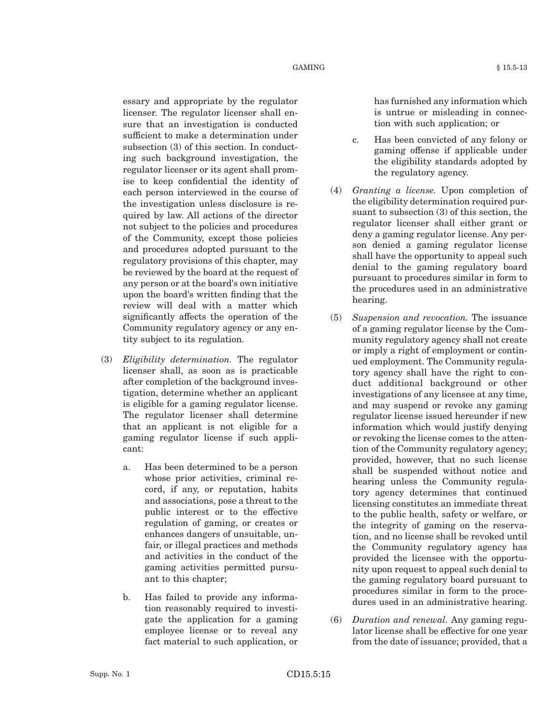essary and appropriate by the regulator licenser. The regulator licenser shall ensure that an investigation is conducted sufficient to make a determination under subsection (3) of this section. In conducting such background investigation, the regulator licenser or its agent shall promise to keep confidential the identity of each person interviewed in the course of the investigation unless disclosure is required by law. All actions of the director not subject to the policies and procedures of the Community, except those policies and procedures adopted pursuant to the regulatory provisions of this chapter, may be reviewed by the board at the request of any person or at the board's own initiative upon the board's written finding that the review will deal with a matter which significantly affects the operation of the Community regulatory agency or any entity subject to its regulation.

- (3) *Eligibility determination.* The regulator licenser shall, as soon as is practicable after completion of the background investigation, determine whether an applicant is eligible for a gaming regulator license. The regulator licenser shall determine that an applicant is not eligible for a gaming regulator license if such applicant:
	- a. Has been determined to be a person whose prior activities, criminal record, if any, or reputation, habits and associations, pose a threat to the public interest or to the effective regulation of gaming, or creates or enhances dangers of unsuitable, unfair, or illegal practices and methods and activities in the conduct of the gaming activities permitted pursuant to this chapter;
	- b. Has failed to provide any information reasonably required to investigate the application for a gaming employee license or to reveal any fact material to such application, or

has furnished any information which is untrue or misleading in connection with such application; or

- c. Has been convicted of any felony or gaming offense if applicable under the eligibility standards adopted by the regulatory agency.
- (4) *Granting a license.* Upon completion of the eligibility determination required pursuant to subsection (3) of this section, the regulator licenser shall either grant or deny a gaming regulator license. Any person denied a gaming regulator license shall have the opportunity to appeal such denial to the gaming regulatory board pursuant to procedures similar in form to the procedures used in an administrative hearing.
- (5) *Suspension and revocation.* The issuance of a gaming regulator license by the Community regulatory agency shall not create or imply a right of employment or continued employment. The Community regulatory agency shall have the right to conduct additional background or other investigations of any licensee at any time, and may suspend or revoke any gaming regulator license issued hereunder if new information which would justify denying or revoking the license comes to the attention of the Community regulatory agency; provided, however, that no such license shall be suspended without notice and hearing unless the Community regulatory agency determines that continued licensing constitutes an immediate threat to the public health, safety or welfare, or the integrity of gaming on the reservation, and no license shall be revoked until the Community regulatory agency has provided the licensee with the opportunity upon request to appeal such denial to the gaming regulatory board pursuant to procedures similar in form to the procedures used in an administrative hearing.
- (6) *Duration and renewal.* Any gaming regulator license shall be effective for one year from the date of issuance; provided, that a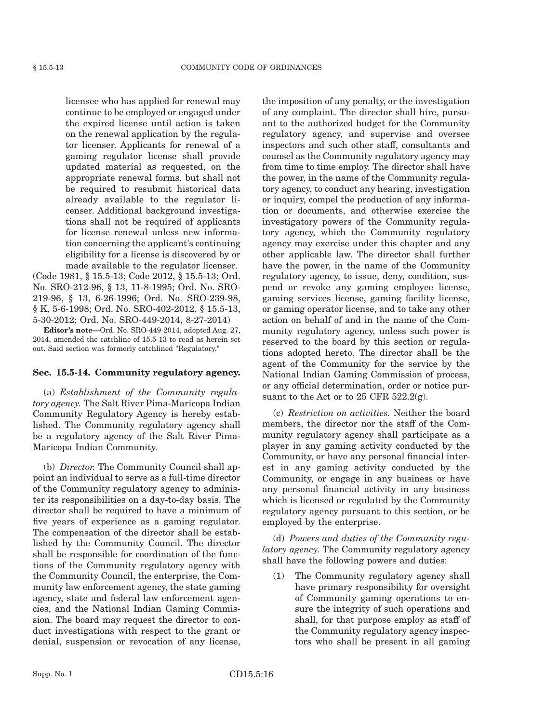licensee who has applied for renewal may continue to be employed or engaged under the expired license until action is taken on the renewal application by the regulator licenser. Applicants for renewal of a gaming regulator license shall provide updated material as requested, on the appropriate renewal forms, but shall not be required to resubmit historical data already available to the regulator licenser. Additional background investigations shall not be required of applicants for license renewal unless new information concerning the applicant's continuing eligibility for a license is discovered by or made available to the regulator licenser.

(Code 1981, § 15.5-13; Code 2012, § 15.5-13; Ord. No. SRO-212-96, § 13, 11-8-1995; Ord. No. SRO-219-96, § 13, 6-26-1996; Ord. No. SRO-239-98, § K, 5-6-1998; Ord. No. SRO-402-2012, § 15.5-13, 5-30-2012; Ord. No. SRO-449-2014, 8-27-2014)

**Editor's note—**Ord. No. SRO-449-2014, adopted Aug. 27, 2014, amended the catchline of 15.5-13 to read as herein set out. Said section was formerly catchlined "Regulatory."

#### **Sec. 15.5-14. Community regulatory agency.**

(a) *Establishment of the Community regulatory agency.* The Salt River Pima-Maricopa Indian Community Regulatory Agency is hereby established. The Community regulatory agency shall be a regulatory agency of the Salt River Pima-Maricopa Indian Community.

(b) *Director.* The Community Council shall appoint an individual to serve as a full-time director of the Community regulatory agency to administer its responsibilities on a day-to-day basis. The director shall be required to have a minimum of five years of experience as a gaming regulator. The compensation of the director shall be established by the Community Council. The director shall be responsible for coordination of the functions of the Community regulatory agency with the Community Council, the enterprise, the Community law enforcement agency, the state gaming agency, state and federal law enforcement agencies, and the National Indian Gaming Commission. The board may request the director to conduct investigations with respect to the grant or denial, suspension or revocation of any license,

the imposition of any penalty, or the investigation of any complaint. The director shall hire, pursuant to the authorized budget for the Community regulatory agency, and supervise and oversee inspectors and such other staff, consultants and counsel as the Community regulatory agency may from time to time employ. The director shall have the power, in the name of the Community regulatory agency, to conduct any hearing, investigation or inquiry, compel the production of any information or documents, and otherwise exercise the investigatory powers of the Community regulatory agency, which the Community regulatory agency may exercise under this chapter and any other applicable law. The director shall further have the power, in the name of the Community regulatory agency, to issue, deny, condition, suspend or revoke any gaming employee license, gaming services license, gaming facility license, or gaming operator license, and to take any other action on behalf of and in the name of the Community regulatory agency, unless such power is reserved to the board by this section or regulations adopted hereto. The director shall be the agent of the Community for the service by the National Indian Gaming Commission of process, or any official determination, order or notice pursuant to the Act or to 25 CFR 522.2(g).

(c) *Restriction on activities.* Neither the board members, the director nor the staff of the Community regulatory agency shall participate as a player in any gaming activity conducted by the Community, or have any personal financial interest in any gaming activity conducted by the Community, or engage in any business or have any personal financial activity in any business which is licensed or regulated by the Community regulatory agency pursuant to this section, or be employed by the enterprise.

(d) *Powers and duties of the Community regulatory agency.* The Community regulatory agency shall have the following powers and duties:

(1) The Community regulatory agency shall have primary responsibility for oversight of Community gaming operations to ensure the integrity of such operations and shall, for that purpose employ as staff of the Community regulatory agency inspectors who shall be present in all gaming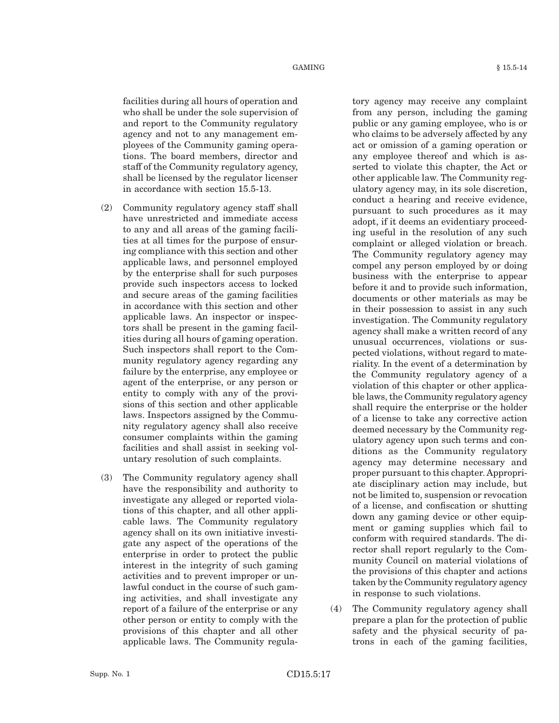facilities during all hours of operation and who shall be under the sole supervision of and report to the Community regulatory agency and not to any management employees of the Community gaming operations. The board members, director and staff of the Community regulatory agency, shall be licensed by the regulator licenser in accordance with section 15.5-13.

- (2) Community regulatory agency staff shall have unrestricted and immediate access to any and all areas of the gaming facilities at all times for the purpose of ensuring compliance with this section and other applicable laws, and personnel employed by the enterprise shall for such purposes provide such inspectors access to locked and secure areas of the gaming facilities in accordance with this section and other applicable laws. An inspector or inspectors shall be present in the gaming facilities during all hours of gaming operation. Such inspectors shall report to the Community regulatory agency regarding any failure by the enterprise, any employee or agent of the enterprise, or any person or entity to comply with any of the provisions of this section and other applicable laws. Inspectors assigned by the Community regulatory agency shall also receive consumer complaints within the gaming facilities and shall assist in seeking voluntary resolution of such complaints.
- (3) The Community regulatory agency shall have the responsibility and authority to investigate any alleged or reported violations of this chapter, and all other applicable laws. The Community regulatory agency shall on its own initiative investigate any aspect of the operations of the enterprise in order to protect the public interest in the integrity of such gaming activities and to prevent improper or unlawful conduct in the course of such gaming activities, and shall investigate any report of a failure of the enterprise or any other person or entity to comply with the provisions of this chapter and all other applicable laws. The Community regula-

tory agency may receive any complaint from any person, including the gaming public or any gaming employee, who is or who claims to be adversely affected by any act or omission of a gaming operation or any employee thereof and which is asserted to violate this chapter, the Act or other applicable law. The Community regulatory agency may, in its sole discretion, conduct a hearing and receive evidence, pursuant to such procedures as it may adopt, if it deems an evidentiary proceeding useful in the resolution of any such complaint or alleged violation or breach. The Community regulatory agency may compel any person employed by or doing business with the enterprise to appear before it and to provide such information, documents or other materials as may be in their possession to assist in any such investigation. The Community regulatory agency shall make a written record of any unusual occurrences, violations or suspected violations, without regard to materiality. In the event of a determination by the Community regulatory agency of a violation of this chapter or other applicable laws, the Community regulatory agency shall require the enterprise or the holder of a license to take any corrective action deemed necessary by the Community regulatory agency upon such terms and conditions as the Community regulatory agency may determine necessary and proper pursuant to this chapter. Appropriate disciplinary action may include, but not be limited to, suspension or revocation of a license, and confiscation or shutting down any gaming device or other equipment or gaming supplies which fail to conform with required standards. The director shall report regularly to the Community Council on material violations of the provisions of this chapter and actions taken by the Community regulatory agency in response to such violations.

(4) The Community regulatory agency shall prepare a plan for the protection of public safety and the physical security of patrons in each of the gaming facilities,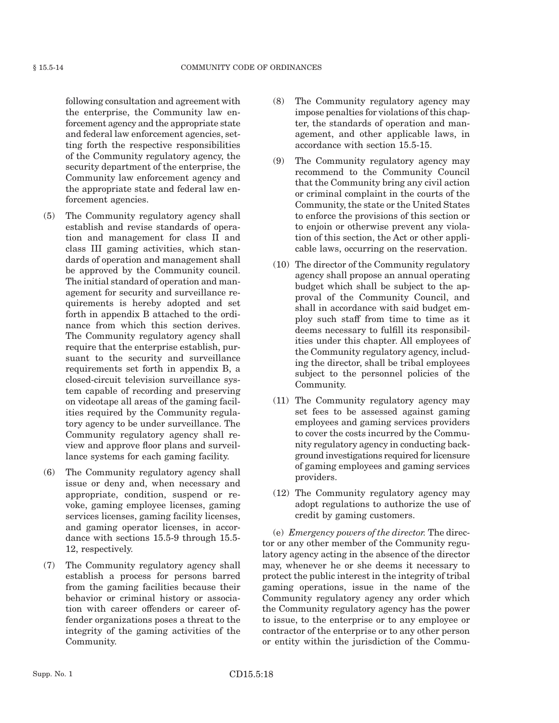following consultation and agreement with the enterprise, the Community law enforcement agency and the appropriate state and federal law enforcement agencies, setting forth the respective responsibilities of the Community regulatory agency, the security department of the enterprise, the Community law enforcement agency and the appropriate state and federal law enforcement agencies.

- (5) The Community regulatory agency shall establish and revise standards of operation and management for class II and class III gaming activities, which standards of operation and management shall be approved by the Community council. The initial standard of operation and management for security and surveillance requirements is hereby adopted and set forth in appendix B attached to the ordinance from which this section derives. The Community regulatory agency shall require that the enterprise establish, pursuant to the security and surveillance requirements set forth in appendix B, a closed-circuit television surveillance system capable of recording and preserving on videotape all areas of the gaming facilities required by the Community regulatory agency to be under surveillance. The Community regulatory agency shall review and approve floor plans and surveillance systems for each gaming facility.
- (6) The Community regulatory agency shall issue or deny and, when necessary and appropriate, condition, suspend or revoke, gaming employee licenses, gaming services licenses, gaming facility licenses, and gaming operator licenses, in accordance with sections 15.5-9 through 15.5- 12, respectively.
- (7) The Community regulatory agency shall establish a process for persons barred from the gaming facilities because their behavior or criminal history or association with career offenders or career offender organizations poses a threat to the integrity of the gaming activities of the Community.
- (8) The Community regulatory agency may impose penalties for violations of this chapter, the standards of operation and management, and other applicable laws, in accordance with section 15.5-15.
- (9) The Community regulatory agency may recommend to the Community Council that the Community bring any civil action or criminal complaint in the courts of the Community, the state or the United States to enforce the provisions of this section or to enjoin or otherwise prevent any violation of this section, the Act or other applicable laws, occurring on the reservation.
- (10) The director of the Community regulatory agency shall propose an annual operating budget which shall be subject to the approval of the Community Council, and shall in accordance with said budget employ such staff from time to time as it deems necessary to fulfill its responsibilities under this chapter. All employees of the Community regulatory agency, including the director, shall be tribal employees subject to the personnel policies of the Community.
- (11) The Community regulatory agency may set fees to be assessed against gaming employees and gaming services providers to cover the costs incurred by the Community regulatory agency in conducting background investigations required for licensure of gaming employees and gaming services providers.
- (12) The Community regulatory agency may adopt regulations to authorize the use of credit by gaming customers.

(e) *Emergency powers of the director.* The director or any other member of the Community regulatory agency acting in the absence of the director may, whenever he or she deems it necessary to protect the public interest in the integrity of tribal gaming operations, issue in the name of the Community regulatory agency any order which the Community regulatory agency has the power to issue, to the enterprise or to any employee or contractor of the enterprise or to any other person or entity within the jurisdiction of the Commu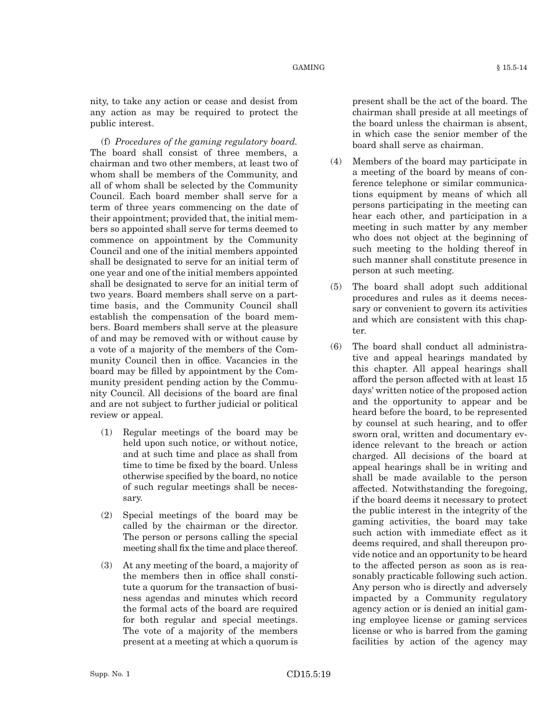nity, to take any action or cease and desist from any action as may be required to protect the public interest.

(f) *Procedures of the gaming regulatory board.* The board shall consist of three members, a chairman and two other members, at least two of whom shall be members of the Community, and all of whom shall be selected by the Community Council. Each board member shall serve for a term of three years commencing on the date of their appointment; provided that, the initial members so appointed shall serve for terms deemed to commence on appointment by the Community Council and one of the initial members appointed shall be designated to serve for an initial term of one year and one of the initial members appointed shall be designated to serve for an initial term of two years. Board members shall serve on a parttime basis, and the Community Council shall establish the compensation of the board members. Board members shall serve at the pleasure of and may be removed with or without cause by a vote of a majority of the members of the Community Council then in office. Vacancies in the board may be filled by appointment by the Community president pending action by the Community Council. All decisions of the board are final and are not subject to further judicial or political review or appeal.

- (1) Regular meetings of the board may be held upon such notice, or without notice, and at such time and place as shall from time to time be fixed by the board. Unless otherwise specified by the board, no notice of such regular meetings shall be necessary.
- (2) Special meetings of the board may be called by the chairman or the director. The person or persons calling the special meeting shall fix the time and place thereof.
- (3) At any meeting of the board, a majority of the members then in office shall constitute a quorum for the transaction of business agendas and minutes which record the formal acts of the board are required for both regular and special meetings. The vote of a majority of the members present at a meeting at which a quorum is

present shall be the act of the board. The chairman shall preside at all meetings of the board unless the chairman is absent, in which case the senior member of the board shall serve as chairman.

- (4) Members of the board may participate in a meeting of the board by means of conference telephone or similar communications equipment by means of which all persons participating in the meeting can hear each other, and participation in a meeting in such matter by any member who does not object at the beginning of such meeting to the holding thereof in such manner shall constitute presence in person at such meeting.
- (5) The board shall adopt such additional procedures and rules as it deems necessary or convenient to govern its activities and which are consistent with this chapter.
- (6) The board shall conduct all administrative and appeal hearings mandated by this chapter. All appeal hearings shall afford the person affected with at least 15 days' written notice of the proposed action and the opportunity to appear and be heard before the board, to be represented by counsel at such hearing, and to offer sworn oral, written and documentary evidence relevant to the breach or action charged. All decisions of the board at appeal hearings shall be in writing and shall be made available to the person affected. Notwithstanding the foregoing, if the board deems it necessary to protect the public interest in the integrity of the gaming activities, the board may take such action with immediate effect as it deems required, and shall thereupon provide notice and an opportunity to be heard to the affected person as soon as is reasonably practicable following such action. Any person who is directly and adversely impacted by a Community regulatory agency action or is denied an initial gaming employee license or gaming services license or who is barred from the gaming facilities by action of the agency may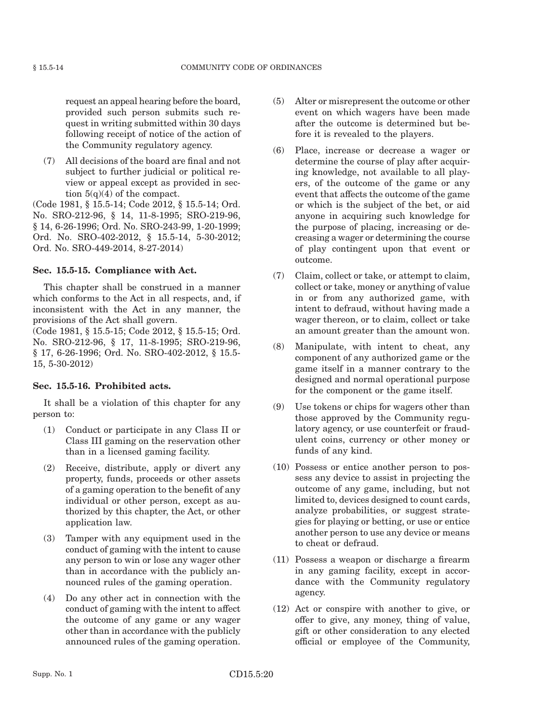request an appeal hearing before the board, provided such person submits such request in writing submitted within 30 days following receipt of notice of the action of the Community regulatory agency.

(7) All decisions of the board are final and not subject to further judicial or political review or appeal except as provided in section  $5(q)(4)$  of the compact.

(Code 1981, § 15.5-14; Code 2012, § 15.5-14; Ord. No. SRO-212-96, § 14, 11-8-1995; SRO-219-96, § 14, 6-26-1996; Ord. No. SRO-243-99, 1-20-1999; Ord. No. SRO-402-2012, § 15.5-14, 5-30-2012; Ord. No. SRO-449-2014, 8-27-2014)

## **Sec. 15.5-15. Compliance with Act.**

This chapter shall be construed in a manner which conforms to the Act in all respects, and, if inconsistent with the Act in any manner, the provisions of the Act shall govern.

(Code 1981, § 15.5-15; Code 2012, § 15.5-15; Ord. No. SRO-212-96, § 17, 11-8-1995; SRO-219-96, § 17, 6-26-1996; Ord. No. SRO-402-2012, § 15.5- 15, 5-30-2012)

## **Sec. 15.5-16. Prohibited acts.**

It shall be a violation of this chapter for any person to:

- (1) Conduct or participate in any Class II or Class III gaming on the reservation other than in a licensed gaming facility.
- (2) Receive, distribute, apply or divert any property, funds, proceeds or other assets of a gaming operation to the benefit of any individual or other person, except as authorized by this chapter, the Act, or other application law.
- (3) Tamper with any equipment used in the conduct of gaming with the intent to cause any person to win or lose any wager other than in accordance with the publicly announced rules of the gaming operation.
- (4) Do any other act in connection with the conduct of gaming with the intent to affect the outcome of any game or any wager other than in accordance with the publicly announced rules of the gaming operation.
- (5) Alter or misrepresent the outcome or other event on which wagers have been made after the outcome is determined but before it is revealed to the players.
- (6) Place, increase or decrease a wager or determine the course of play after acquiring knowledge, not available to all players, of the outcome of the game or any event that affects the outcome of the game or which is the subject of the bet, or aid anyone in acquiring such knowledge for the purpose of placing, increasing or decreasing a wager or determining the course of play contingent upon that event or outcome.
- (7) Claim, collect or take, or attempt to claim, collect or take, money or anything of value in or from any authorized game, with intent to defraud, without having made a wager thereon, or to claim, collect or take an amount greater than the amount won.
- (8) Manipulate, with intent to cheat, any component of any authorized game or the game itself in a manner contrary to the designed and normal operational purpose for the component or the game itself.
- (9) Use tokens or chips for wagers other than those approved by the Community regulatory agency, or use counterfeit or fraudulent coins, currency or other money or funds of any kind.
- (10) Possess or entice another person to possess any device to assist in projecting the outcome of any game, including, but not limited to, devices designed to count cards, analyze probabilities, or suggest strategies for playing or betting, or use or entice another person to use any device or means to cheat or defraud.
- (11) Possess a weapon or discharge a firearm in any gaming facility, except in accordance with the Community regulatory agency.
- (12) Act or conspire with another to give, or offer to give, any money, thing of value, gift or other consideration to any elected official or employee of the Community,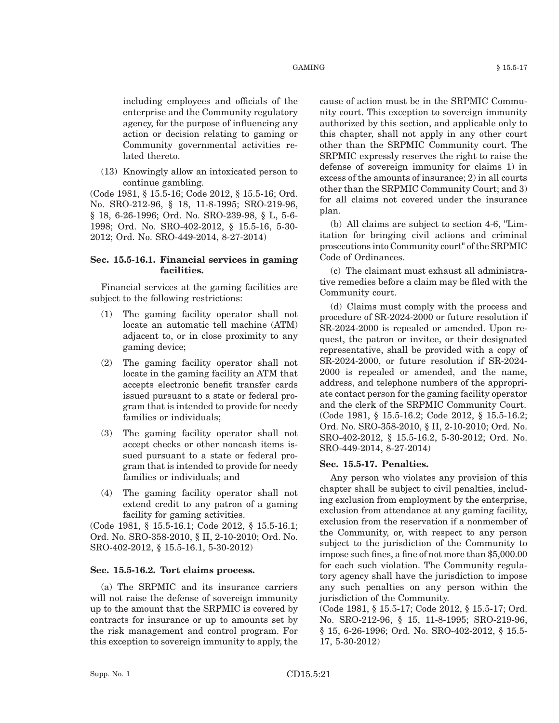#### $GAMING$   $§ 15.5-17$

(13) Knowingly allow an intoxicated person to continue gambling.

lated thereto.

(Code 1981, § 15.5-16; Code 2012, § 15.5-16; Ord. No. SRO-212-96, § 18, 11-8-1995; SRO-219-96, § 18, 6-26-1996; Ord. No. SRO-239-98, § L, 5-6- 1998; Ord. No. SRO-402-2012, § 15.5-16, 5-30- 2012; Ord. No. SRO-449-2014, 8-27-2014)

## **Sec. 15.5-16.1. Financial services in gaming facilities.**

Financial services at the gaming facilities are subject to the following restrictions:

- (1) The gaming facility operator shall not locate an automatic tell machine (ATM) adjacent to, or in close proximity to any gaming device;
- (2) The gaming facility operator shall not locate in the gaming facility an ATM that accepts electronic benefit transfer cards issued pursuant to a state or federal program that is intended to provide for needy families or individuals;
- (3) The gaming facility operator shall not accept checks or other noncash items issued pursuant to a state or federal program that is intended to provide for needy families or individuals; and
- (4) The gaming facility operator shall not extend credit to any patron of a gaming facility for gaming activities.

(Code 1981, § 15.5-16.1; Code 2012, § 15.5-16.1; Ord. No. SRO-358-2010, § II, 2-10-2010; Ord. No. SRO-402-2012, § 15.5-16.1, 5-30-2012)

## **Sec. 15.5-16.2. Tort claims process.**

(a) The SRPMIC and its insurance carriers will not raise the defense of sovereign immunity up to the amount that the SRPMIC is covered by contracts for insurance or up to amounts set by the risk management and control program. For this exception to sovereign immunity to apply, the cause of action must be in the SRPMIC Community court. This exception to sovereign immunity authorized by this section, and applicable only to this chapter, shall not apply in any other court other than the SRPMIC Community court. The SRPMIC expressly reserves the right to raise the defense of sovereign immunity for claims 1) in excess of the amounts of insurance; 2) in all courts other than the SRPMIC Community Court; and 3) for all claims not covered under the insurance plan.

(b) All claims are subject to section 4-6, "Limitation for bringing civil actions and criminal prosecutions into Community court" of the SRPMIC Code of Ordinances.

(c) The claimant must exhaust all administrative remedies before a claim may be filed with the Community court.

(d) Claims must comply with the process and procedure of SR-2024-2000 or future resolution if SR-2024-2000 is repealed or amended. Upon request, the patron or invitee, or their designated representative, shall be provided with a copy of SR-2024-2000, or future resolution if SR-2024- 2000 is repealed or amended, and the name, address, and telephone numbers of the appropriate contact person for the gaming facility operator and the clerk of the SRPMIC Community Court. (Code 1981, § 15.5-16.2; Code 2012, § 15.5-16.2; Ord. No. SRO-358-2010, § II, 2-10-2010; Ord. No. SRO-402-2012, § 15.5-16.2, 5-30-2012; Ord. No. SRO-449-2014, 8-27-2014)

#### **Sec. 15.5-17. Penalties.**

Any person who violates any provision of this chapter shall be subject to civil penalties, including exclusion from employment by the enterprise, exclusion from attendance at any gaming facility, exclusion from the reservation if a nonmember of the Community, or, with respect to any person subject to the jurisdiction of the Community to impose such fines, a fine of not more than \$5,000.00 for each such violation. The Community regulatory agency shall have the jurisdiction to impose any such penalties on any person within the jurisdiction of the Community.

(Code 1981, § 15.5-17; Code 2012, § 15.5-17; Ord. No. SRO-212-96, § 15, 11-8-1995; SRO-219-96, § 15, 6-26-1996; Ord. No. SRO-402-2012, § 15.5- 17, 5-30-2012)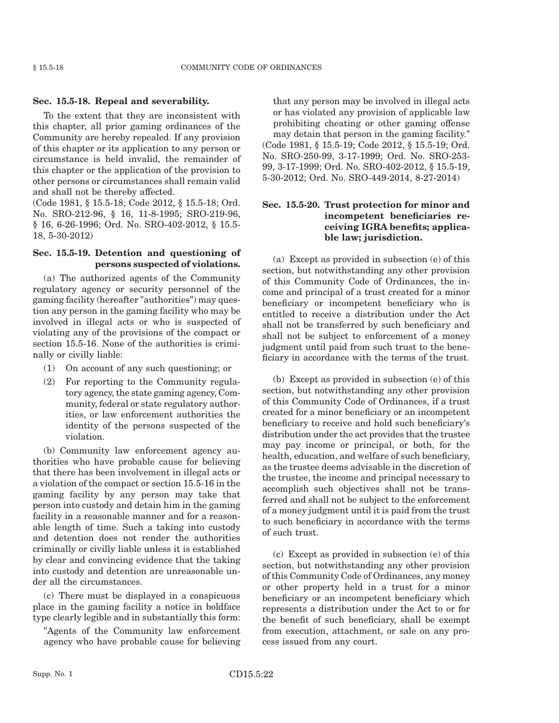#### **Sec. 15.5-18. Repeal and severability.**

To the extent that they are inconsistent with this chapter, all prior gaming ordinances of the Community are hereby repealed. If any provision of this chapter or its application to any person or circumstance is held invalid, the remainder of this chapter or the application of the provision to other persons or circumstances shall remain valid and shall not be thereby affected.

(Code 1981, § 15.5-18; Code 2012, § 15.5-18; Ord. No. SRO-212-96, § 16, 11-8-1995; SRO-219-96, § 16, 6-26-1996; Ord. No. SRO-402-2012, § 15.5- 18, 5-30-2012)

#### **Sec. 15.5-19. Detention and questioning of persons suspected of violations.**

(a) The authorized agents of the Community regulatory agency or security personnel of the gaming facility (hereafter "authorities") may question any person in the gaming facility who may be involved in illegal acts or who is suspected of violating any of the provisions of the compact or section 15.5-16. None of the authorities is criminally or civilly liable:

- (1) On account of any such questioning; or
- (2) For reporting to the Community regulatory agency, the state gaming agency, Community, federal or state regulatory authorities, or law enforcement authorities the identity of the persons suspected of the violation.

(b) Community law enforcement agency authorities who have probable cause for believing that there has been involvement in illegal acts or a violation of the compact or section 15.5-16 in the gaming facility by any person may take that person into custody and detain him in the gaming facility in a reasonable manner and for a reasonable length of time. Such a taking into custody and detention does not render the authorities criminally or civilly liable unless it is established by clear and convincing evidence that the taking into custody and detention are unreasonable under all the circumstances.

(c) There must be displayed in a conspicuous place in the gaming facility a notice in boldface type clearly legible and in substantially this form:

"Agents of the Community law enforcement agency who have probable cause for believing

that any person may be involved in illegal acts or has violated any provision of applicable law prohibiting cheating or other gaming offense may detain that person in the gaming facility." (Code 1981, § 15.5-19; Code 2012, § 15.5-19; Ord. No. SRO-250-99, 3-17-1999; Ord. No. SRO-253- 99, 3-17-1999; Ord. No. SRO-402-2012, § 15.5-19, 5-30-2012; Ord. No. SRO-449-2014, 8-27-2014)

## **Sec. 15.5-20. Trust protection for minor and incompetent beneficiaries receiving IGRA benefits; applicable law; jurisdiction.**

(a) Except as provided in subsection (e) of this section, but notwithstanding any other provision of this Community Code of Ordinances, the income and principal of a trust created for a minor beneficiary or incompetent beneficiary who is entitled to receive a distribution under the Act shall not be transferred by such beneficiary and shall not be subject to enforcement of a money judgment until paid from such trust to the beneficiary in accordance with the terms of the trust.

(b) Except as provided in subsection (e) of this section, but notwithstanding any other provision of this Community Code of Ordinances, if a trust created for a minor beneficiary or an incompetent beneficiary to receive and hold such beneficiary's distribution under the act provides that the trustee may pay income or principal, or both, for the health, education, and welfare of such beneficiary, as the trustee deems advisable in the discretion of the trustee, the income and principal necessary to accomplish such objectives shall not be transferred and shall not be subject to the enforcement of a money judgment until it is paid from the trust to such beneficiary in accordance with the terms of such trust.

(c) Except as provided in subsection (e) of this section, but notwithstanding any other provision of this Community Code of Ordinances, any money or other property held in a trust for a minor beneficiary or an incompetent beneficiary which represents a distribution under the Act to or for the benefit of such beneficiary, shall be exempt from execution, attachment, or sale on any process issued from any court.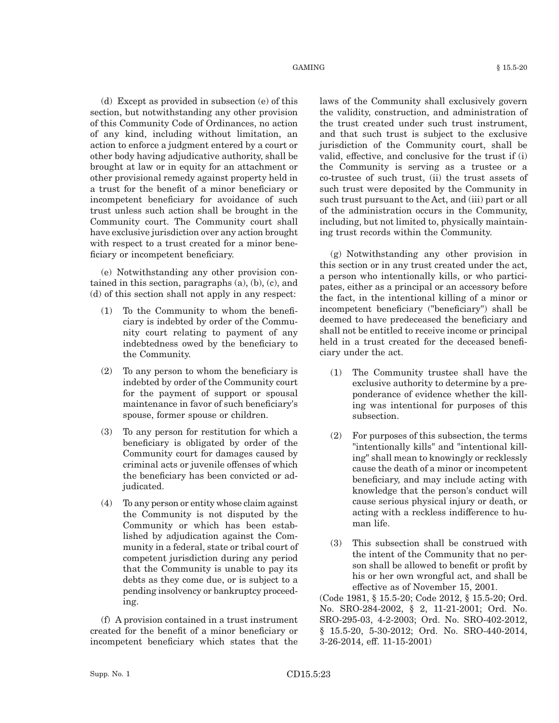#### $\text{GAMING}$   $\text{\&} 15.5\text{-}20$

(d) Except as provided in subsection (e) of this section, but notwithstanding any other provision of this Community Code of Ordinances, no action of any kind, including without limitation, an action to enforce a judgment entered by a court or other body having adjudicative authority, shall be brought at law or in equity for an attachment or other provisional remedy against property held in a trust for the benefit of a minor beneficiary or incompetent beneficiary for avoidance of such trust unless such action shall be brought in the Community court. The Community court shall have exclusive jurisdiction over any action brought with respect to a trust created for a minor beneficiary or incompetent beneficiary.

(e) Notwithstanding any other provision contained in this section, paragraphs  $(a)$ ,  $(b)$ ,  $(c)$ , and (d) of this section shall not apply in any respect:

- (1) To the Community to whom the beneficiary is indebted by order of the Community court relating to payment of any indebtedness owed by the beneficiary to the Community.
- (2) To any person to whom the beneficiary is indebted by order of the Community court for the payment of support or spousal maintenance in favor of such beneficiary's spouse, former spouse or children.
- (3) To any person for restitution for which a beneficiary is obligated by order of the Community court for damages caused by criminal acts or juvenile offenses of which the beneficiary has been convicted or adjudicated.
- (4) To any person or entity whose claim against the Community is not disputed by the Community or which has been established by adjudication against the Community in a federal, state or tribal court of competent jurisdiction during any period that the Community is unable to pay its debts as they come due, or is subject to a pending insolvency or bankruptcy proceeding.

(f) A provision contained in a trust instrument created for the benefit of a minor beneficiary or incompetent beneficiary which states that the laws of the Community shall exclusively govern the validity, construction, and administration of the trust created under such trust instrument, and that such trust is subject to the exclusive jurisdiction of the Community court, shall be valid, effective, and conclusive for the trust if (i) the Community is serving as a trustee or a co-trustee of such trust, (ii) the trust assets of such trust were deposited by the Community in such trust pursuant to the Act, and (iii) part or all of the administration occurs in the Community, including, but not limited to, physically maintaining trust records within the Community.

(g) Notwithstanding any other provision in this section or in any trust created under the act, a person who intentionally kills, or who participates, either as a principal or an accessory before the fact, in the intentional killing of a minor or incompetent beneficiary ("beneficiary") shall be deemed to have predeceased the beneficiary and shall not be entitled to receive income or principal held in a trust created for the deceased beneficiary under the act.

- (1) The Community trustee shall have the exclusive authority to determine by a preponderance of evidence whether the killing was intentional for purposes of this subsection.
- (2) For purposes of this subsection, the terms "intentionally kills" and "intentional killing" shall mean to knowingly or recklessly cause the death of a minor or incompetent beneficiary, and may include acting with knowledge that the person's conduct will cause serious physical injury or death, or acting with a reckless indifference to human life.
- (3) This subsection shall be construed with the intent of the Community that no person shall be allowed to benefit or profit by his or her own wrongful act, and shall be effective as of November 15, 2001.

(Code 1981, § 15.5-20; Code 2012, § 15.5-20; Ord. No. SRO-284-2002, § 2, 11-21-2001; Ord. No. SRO-295-03, 4-2-2003; Ord. No. SRO-402-2012, § 15.5-20, 5-30-2012; Ord. No. SRO-440-2014, 3-26-2014, eff. 11-15-2001)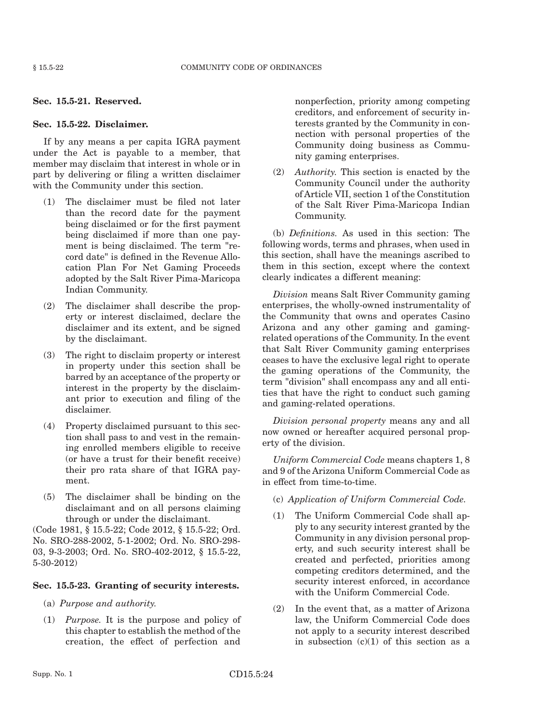## **Sec. 15.5-21. Reserved.**

## **Sec. 15.5-22. Disclaimer.**

If by any means a per capita IGRA payment under the Act is payable to a member, that member may disclaim that interest in whole or in part by delivering or filing a written disclaimer with the Community under this section.

- (1) The disclaimer must be filed not later than the record date for the payment being disclaimed or for the first payment being disclaimed if more than one payment is being disclaimed. The term "record date" is defined in the Revenue Allocation Plan For Net Gaming Proceeds adopted by the Salt River Pima-Maricopa Indian Community.
- (2) The disclaimer shall describe the property or interest disclaimed, declare the disclaimer and its extent, and be signed by the disclaimant.
- (3) The right to disclaim property or interest in property under this section shall be barred by an acceptance of the property or interest in the property by the disclaimant prior to execution and filing of the disclaimer.
- (4) Property disclaimed pursuant to this section shall pass to and vest in the remaining enrolled members eligible to receive (or have a trust for their benefit receive) their pro rata share of that IGRA payment.
- (5) The disclaimer shall be binding on the disclaimant and on all persons claiming through or under the disclaimant.

(Code 1981, § 15.5-22; Code 2012, § 15.5-22; Ord. No. SRO-288-2002, 5-1-2002; Ord. No. SRO-298- 03, 9-3-2003; Ord. No. SRO-402-2012, § 15.5-22, 5-30-2012)

#### **Sec. 15.5-23. Granting of security interests.**

- (a) *Purpose and authority.*
- (1) *Purpose.* It is the purpose and policy of this chapter to establish the method of the creation, the effect of perfection and

nonperfection, priority among competing creditors, and enforcement of security interests granted by the Community in connection with personal properties of the Community doing business as Community gaming enterprises.

(2) *Authority.* This section is enacted by the Community Council under the authority of Article VII, section 1 of the Constitution of the Salt River Pima-Maricopa Indian Community.

(b) *Definitions.* As used in this section: The following words, terms and phrases, when used in this section, shall have the meanings ascribed to them in this section, except where the context clearly indicates a different meaning:

*Division* means Salt River Community gaming enterprises, the wholly-owned instrumentality of the Community that owns and operates Casino Arizona and any other gaming and gamingrelated operations of the Community. In the event that Salt River Community gaming enterprises ceases to have the exclusive legal right to operate the gaming operations of the Community, the term "division" shall encompass any and all entities that have the right to conduct such gaming and gaming-related operations.

*Division personal property* means any and all now owned or hereafter acquired personal property of the division.

*Uniform Commercial Code* means chapters 1, 8 and 9 of the Arizona Uniform Commercial Code as in effect from time-to-time.

- (c) *Application of Uniform Commercial Code.*
- (1) The Uniform Commercial Code shall apply to any security interest granted by the Community in any division personal property, and such security interest shall be created and perfected, priorities among competing creditors determined, and the security interest enforced, in accordance with the Uniform Commercial Code.
- (2) In the event that, as a matter of Arizona law, the Uniform Commercial Code does not apply to a security interest described in subsection  $(c)(1)$  of this section as a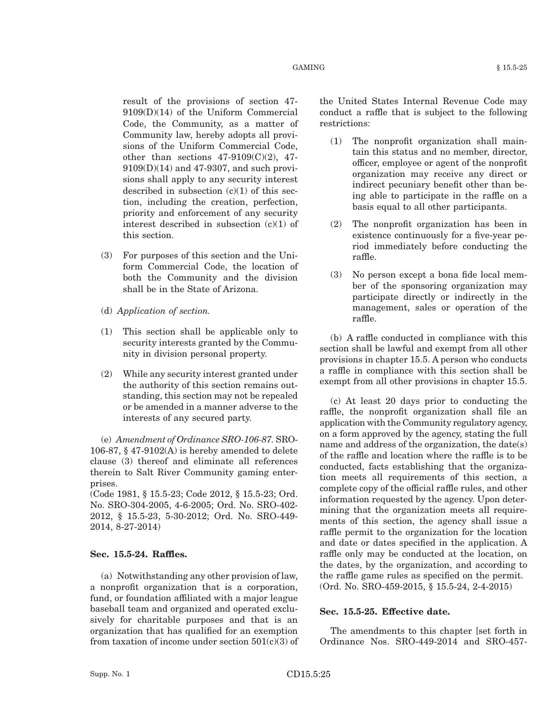result of the provisions of section 47- 9109(D)(14) of the Uniform Commercial Code, the Community, as a matter of Community law, hereby adopts all provisions of the Uniform Commercial Code, other than sections  $47-9109(C)(2)$ ,  $47-$ 9109(D)(14) and 47-9307, and such provisions shall apply to any security interest described in subsection  $(c)(1)$  of this section, including the creation, perfection, priority and enforcement of any security interest described in subsection (c)(1) of this section.

- (3) For purposes of this section and the Uniform Commercial Code, the location of both the Community and the division shall be in the State of Arizona.
- (d) *Application of section.*
- (1) This section shall be applicable only to security interests granted by the Community in division personal property.
- (2) While any security interest granted under the authority of this section remains outstanding, this section may not be repealed or be amended in a manner adverse to the interests of any secured party.

(e) *Amendment of Ordinance SRO-106-87.* SRO-106-87,  $\S$  47-9102(A) is hereby amended to delete clause (3) thereof and eliminate all references therein to Salt River Community gaming enterprises.

(Code 1981, § 15.5-23; Code 2012, § 15.5-23; Ord. No. SRO-304-2005, 4-6-2005; Ord. No. SRO-402- 2012, § 15.5-23, 5-30-2012; Ord. No. SRO-449- 2014, 8-27-2014)

#### **Sec. 15.5-24. Raffles.**

(a) Notwithstanding any other provision of law, a nonprofit organization that is a corporation, fund, or foundation affiliated with a major league baseball team and organized and operated exclusively for charitable purposes and that is an organization that has qualified for an exemption from taxation of income under section  $501(c)(3)$  of the United States Internal Revenue Code may conduct a raffle that is subject to the following restrictions:

- (1) The nonprofit organization shall maintain this status and no member, director, officer, employee or agent of the nonprofit organization may receive any direct or indirect pecuniary benefit other than being able to participate in the raffle on a basis equal to all other participants.
- (2) The nonprofit organization has been in existence continuously for a five-year period immediately before conducting the raffle.
- (3) No person except a bona fide local member of the sponsoring organization may participate directly or indirectly in the management, sales or operation of the raffle.

(b) A raffle conducted in compliance with this section shall be lawful and exempt from all other provisions in chapter 15.5. A person who conducts a raffle in compliance with this section shall be exempt from all other provisions in chapter 15.5.

(c) At least 20 days prior to conducting the raffle, the nonprofit organization shall file an application with the Community regulatory agency, on a form approved by the agency, stating the full name and address of the organization, the date(s) of the raffle and location where the raffle is to be conducted, facts establishing that the organization meets all requirements of this section, a complete copy of the official raffle rules, and other information requested by the agency. Upon determining that the organization meets all requirements of this section, the agency shall issue a raffle permit to the organization for the location and date or dates specified in the application. A raffle only may be conducted at the location, on the dates, by the organization, and according to the raffle game rules as specified on the permit. (Ord. No. SRO-459-2015, § 15.5-24, 2-4-2015)

#### **Sec. 15.5-25. Effective date.**

The amendments to this chapter [set forth in Ordinance Nos. SRO-449-2014 and SRO-457